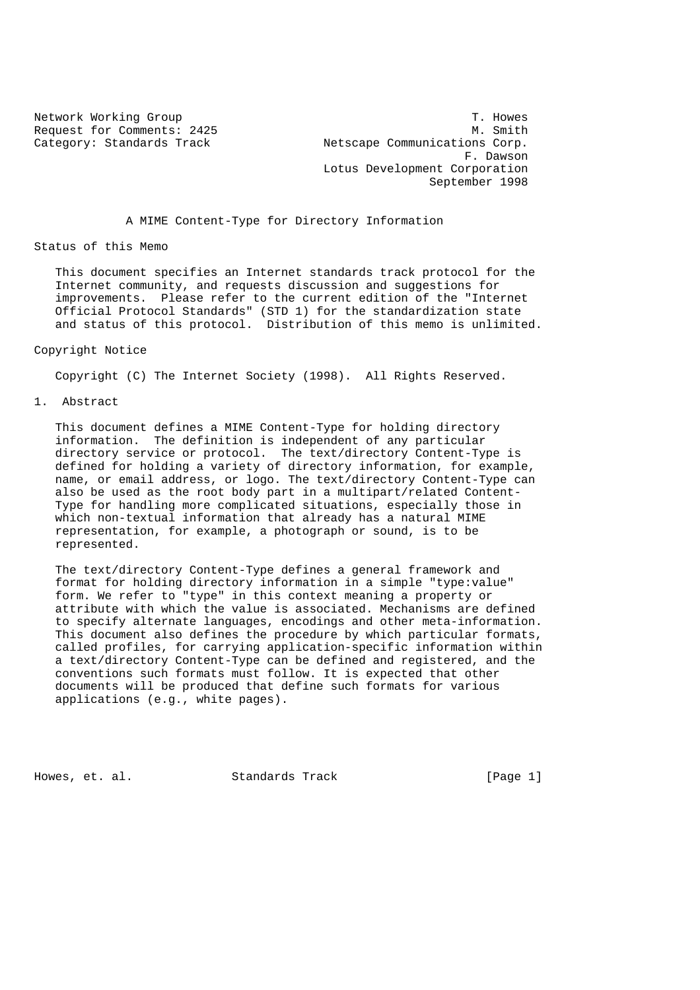Network Working Group T. Howes Request for Comments: 2425 M. Smith Category: Standards Track Netscape Communications Corp. F. Dawson Lotus Development Corporation September 1998

A MIME Content-Type for Directory Information

Status of this Memo

 This document specifies an Internet standards track protocol for the Internet community, and requests discussion and suggestions for improvements. Please refer to the current edition of the "Internet Official Protocol Standards" (STD 1) for the standardization state and status of this protocol. Distribution of this memo is unlimited.

Copyright Notice

Copyright (C) The Internet Society (1998). All Rights Reserved.

1. Abstract

 This document defines a MIME Content-Type for holding directory information. The definition is independent of any particular directory service or protocol. The text/directory Content-Type is defined for holding a variety of directory information, for example, name, or email address, or logo. The text/directory Content-Type can also be used as the root body part in a multipart/related Content- Type for handling more complicated situations, especially those in which non-textual information that already has a natural MIME representation, for example, a photograph or sound, is to be represented.

 The text/directory Content-Type defines a general framework and format for holding directory information in a simple "type:value" form. We refer to "type" in this context meaning a property or attribute with which the value is associated. Mechanisms are defined to specify alternate languages, encodings and other meta-information. This document also defines the procedure by which particular formats, called profiles, for carrying application-specific information within a text/directory Content-Type can be defined and registered, and the conventions such formats must follow. It is expected that other documents will be produced that define such formats for various applications (e.g., white pages).

Howes, et. al. Standards Track [Page 1]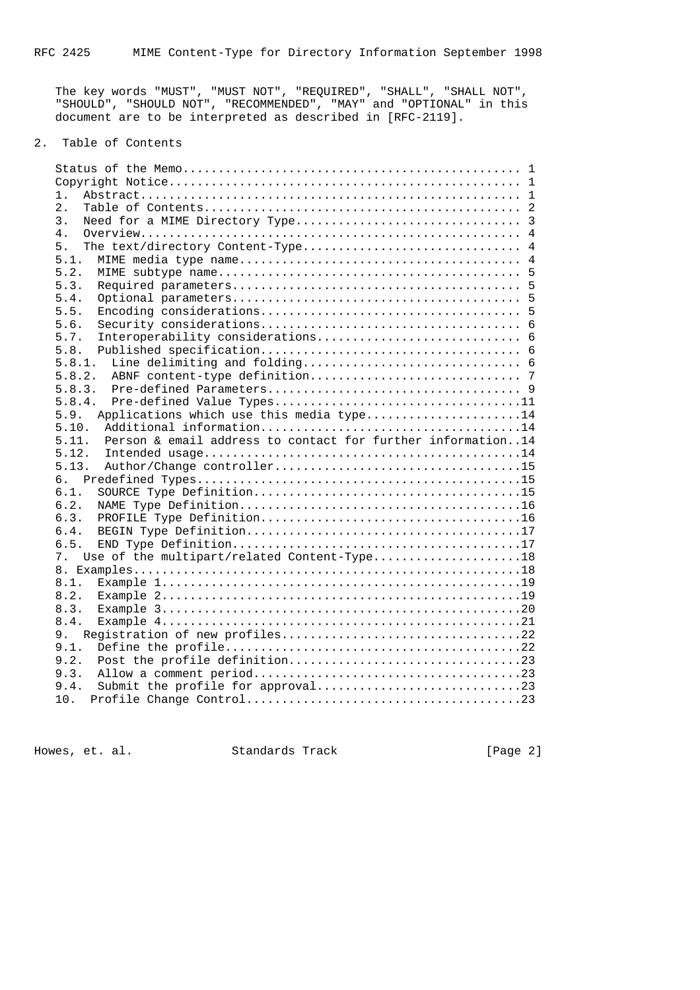The key words "MUST", "MUST NOT", "REQUIRED", "SHALL", "SHALL NOT", "SHOULD", "SHOULD NOT", "RECOMMENDED", "MAY" and "OPTIONAL" in this document are to be interpreted as described in [RFC-2119].

# 2. Table of Contents

| 1.                                                          |
|-------------------------------------------------------------|
| $2$ .                                                       |
| 3.                                                          |
| 4.                                                          |
| 5.                                                          |
| 5.1.                                                        |
| 5.2.                                                        |
| 5.3.                                                        |
| 5.4.                                                        |
| 5.5.                                                        |
| 5.6.                                                        |
| 5.7.                                                        |
| 5.8.                                                        |
| 5.8.1.                                                      |
| 5.8.2.                                                      |
| 5.8.3.                                                      |
| 5.8.4.                                                      |
| Applications which use this media type14<br>5.9.            |
| 5.10.                                                       |
| 5.11.                                                       |
| Person & email address to contact for further information14 |
| 5.12.                                                       |
| 5.13.                                                       |
| б.                                                          |
| 6.1.                                                        |
| 6.2.                                                        |
| 6.3.                                                        |
| 6.4.                                                        |
| 6.5.                                                        |
| Use of the multipart/related Content-Type18<br>7.           |
|                                                             |
| 8.1.                                                        |
| 8.2.                                                        |
| 8.3.                                                        |
| 8.4.                                                        |
| 9.                                                          |
| 9.1.                                                        |
| 9.2.                                                        |
| 9.3.                                                        |
| 9.4.<br>10.                                                 |

Howes, et. al. Standards Track [Page 2]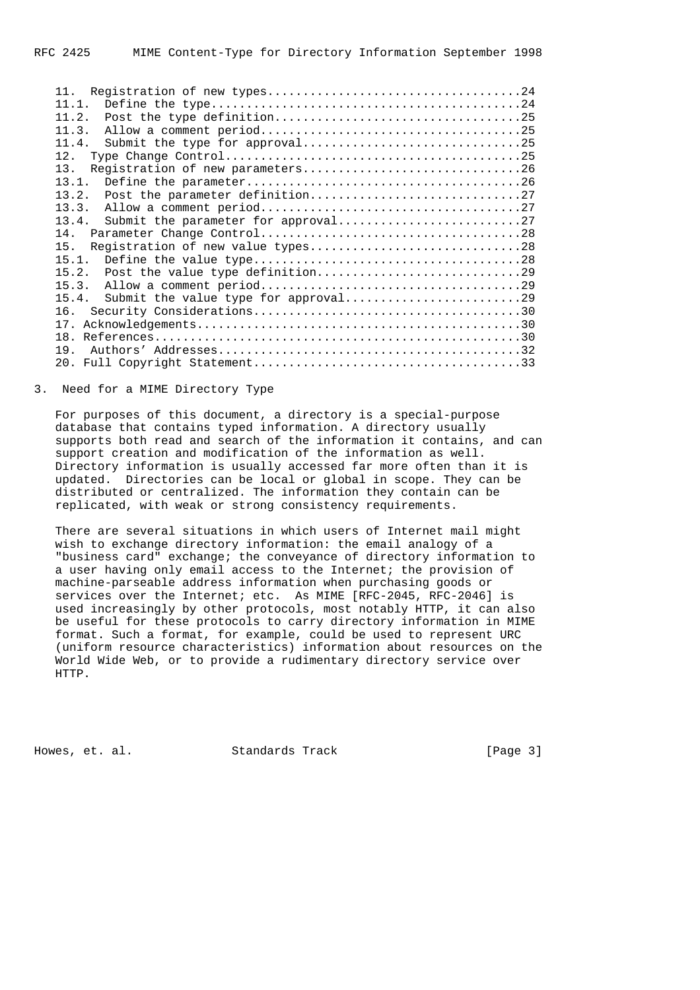| 11                                       |
|------------------------------------------|
| 11.1.                                    |
| 11.2.                                    |
| 11.3.                                    |
| 11.4.                                    |
| 12.                                      |
| 13.                                      |
| 13.1.                                    |
| 13.2.                                    |
| 13.3.                                    |
| 13.4.                                    |
| 14.                                      |
| Registration of new value types28<br>15. |
| 15.1.                                    |
| 15.2.                                    |
| 15.3.                                    |
| 15.4.                                    |
| 16.                                      |
|                                          |
|                                          |
| 19                                       |
|                                          |
|                                          |

#### 3. Need for a MIME Directory Type

 For purposes of this document, a directory is a special-purpose database that contains typed information. A directory usually supports both read and search of the information it contains, and can support creation and modification of the information as well. Directory information is usually accessed far more often than it is updated. Directories can be local or global in scope. They can be distributed or centralized. The information they contain can be replicated, with weak or strong consistency requirements.

 There are several situations in which users of Internet mail might wish to exchange directory information: the email analogy of a "business card" exchange; the conveyance of directory information to a user having only email access to the Internet; the provision of machine-parseable address information when purchasing goods or services over the Internet; etc. As MIME [RFC-2045, RFC-2046] is used increasingly by other protocols, most notably HTTP, it can also be useful for these protocols to carry directory information in MIME format. Such a format, for example, could be used to represent URC (uniform resource characteristics) information about resources on the World Wide Web, or to provide a rudimentary directory service over HTTP.

Howes, et. al. Standards Track [Page 3]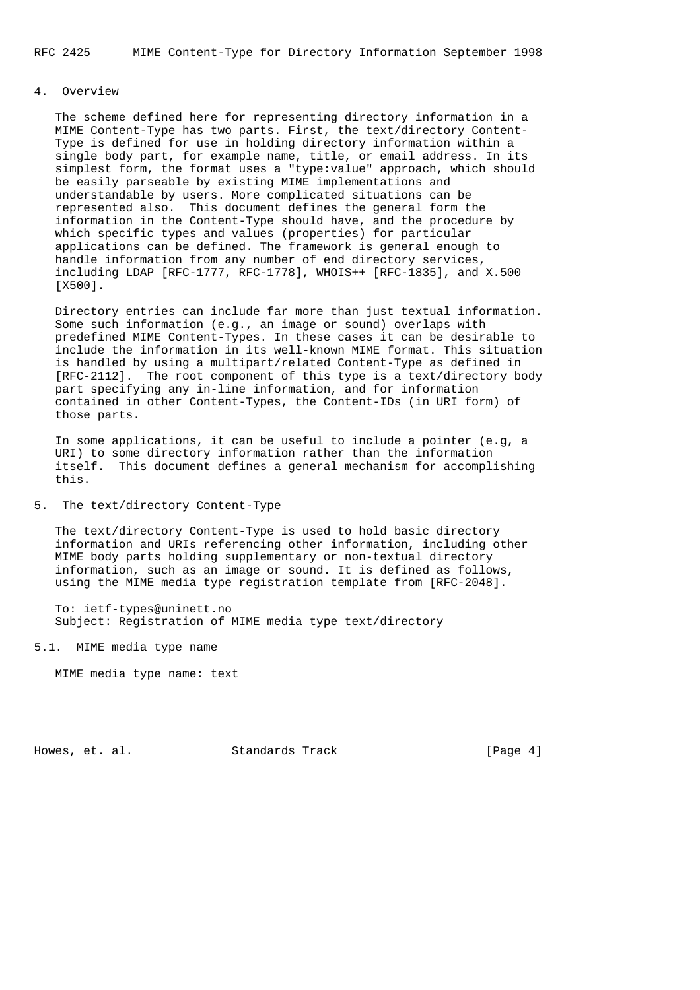# 4. Overview

 The scheme defined here for representing directory information in a MIME Content-Type has two parts. First, the text/directory Content- Type is defined for use in holding directory information within a single body part, for example name, title, or email address. In its simplest form, the format uses a "type:value" approach, which should be easily parseable by existing MIME implementations and understandable by users. More complicated situations can be represented also. This document defines the general form the information in the Content-Type should have, and the procedure by which specific types and values (properties) for particular applications can be defined. The framework is general enough to handle information from any number of end directory services, including LDAP [RFC-1777, RFC-1778], WHOIS++ [RFC-1835], and X.500 [X500].

 Directory entries can include far more than just textual information. Some such information (e.g., an image or sound) overlaps with predefined MIME Content-Types. In these cases it can be desirable to include the information in its well-known MIME format. This situation is handled by using a multipart/related Content-Type as defined in [RFC-2112]. The root component of this type is a text/directory body part specifying any in-line information, and for information contained in other Content-Types, the Content-IDs (in URI form) of those parts.

 In some applications, it can be useful to include a pointer (e.g, a URI) to some directory information rather than the information itself. This document defines a general mechanism for accomplishing this.

## 5. The text/directory Content-Type

 The text/directory Content-Type is used to hold basic directory information and URIs referencing other information, including other MIME body parts holding supplementary or non-textual directory information, such as an image or sound. It is defined as follows, using the MIME media type registration template from [RFC-2048].

 To: ietf-types@uninett.no Subject: Registration of MIME media type text/directory

5.1. MIME media type name

MIME media type name: text

Howes, et. al. Standards Track [Page 4]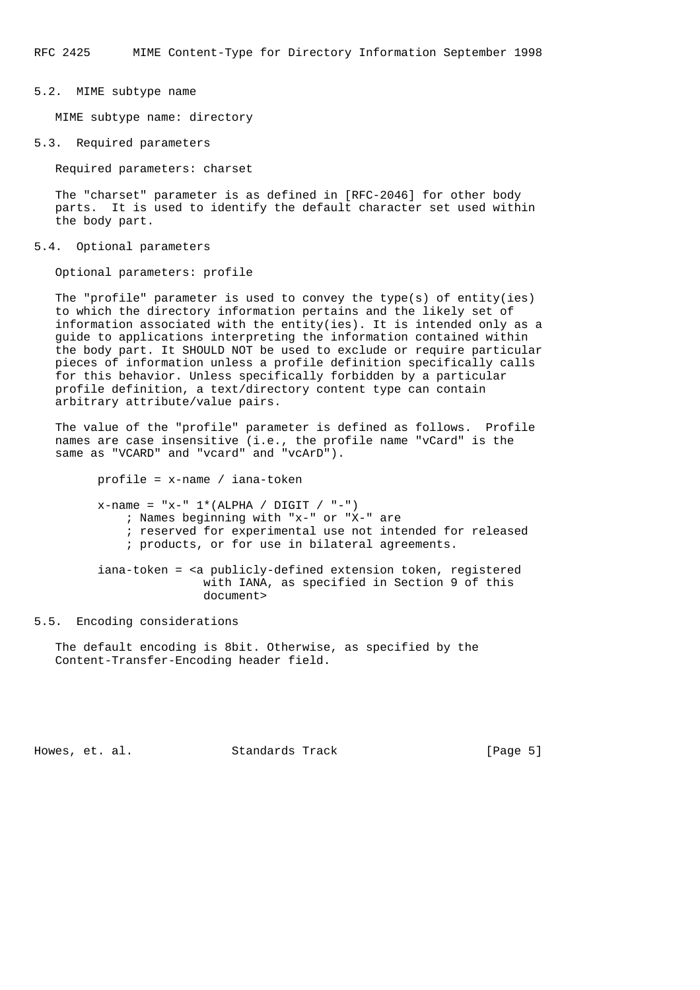RFC 2425 MIME Content-Type for Directory Information September 1998

### 5.2. MIME subtype name

MIME subtype name: directory

### 5.3. Required parameters

Required parameters: charset

 The "charset" parameter is as defined in [RFC-2046] for other body parts. It is used to identify the default character set used within the body part.

#### 5.4. Optional parameters

Optional parameters: profile

 The "profile" parameter is used to convey the type(s) of entity(ies) to which the directory information pertains and the likely set of information associated with the entity(ies). It is intended only as a guide to applications interpreting the information contained within the body part. It SHOULD NOT be used to exclude or require particular pieces of information unless a profile definition specifically calls for this behavior. Unless specifically forbidden by a particular profile definition, a text/directory content type can contain arbitrary attribute/value pairs.

 The value of the "profile" parameter is defined as follows. Profile names are case insensitive (i.e., the profile name "vCard" is the same as "VCARD" and "vcard" and "vcArD").

profile = x-name / iana-token

 $x$ -name = " $x$ -"  $1*(ALPHA / DIGIT / " -")$  ; Names beginning with "x-" or "X-" are ; reserved for experimental use not intended for released ; products, or for use in bilateral agreements. iana-token = <a publicly-defined extension token, registered with IANA, as specified in Section 9 of this

# 5.5. Encoding considerations

 The default encoding is 8bit. Otherwise, as specified by the Content-Transfer-Encoding header field.

document>

Howes, et. al. Standards Track [Page 5]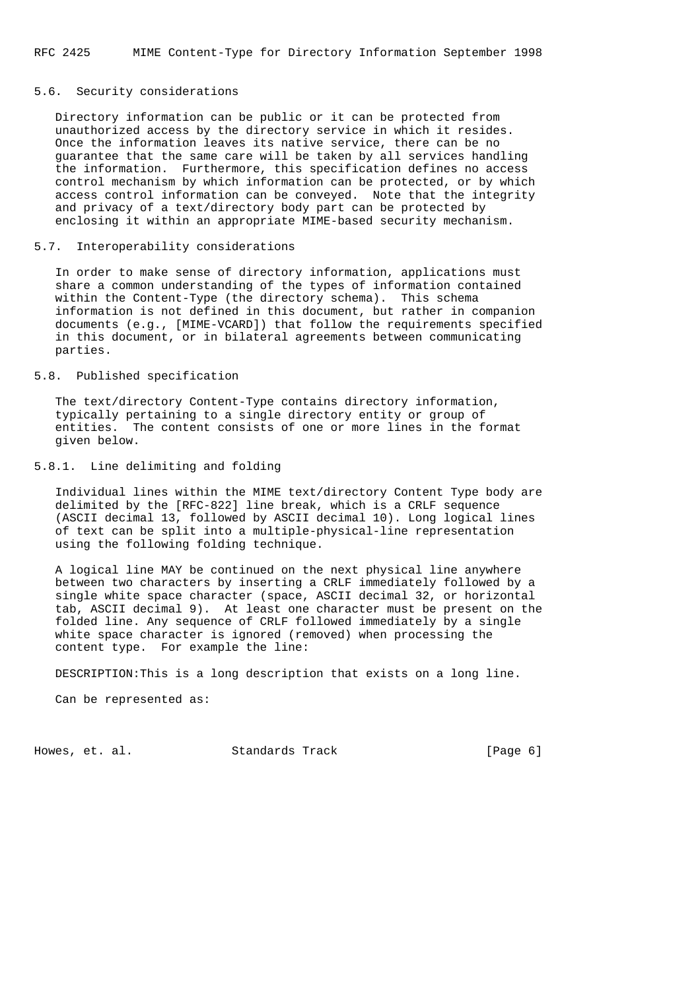### 5.6. Security considerations

 Directory information can be public or it can be protected from unauthorized access by the directory service in which it resides. Once the information leaves its native service, there can be no guarantee that the same care will be taken by all services handling the information. Furthermore, this specification defines no access control mechanism by which information can be protected, or by which access control information can be conveyed. Note that the integrity and privacy of a text/directory body part can be protected by enclosing it within an appropriate MIME-based security mechanism.

#### 5.7. Interoperability considerations

 In order to make sense of directory information, applications must share a common understanding of the types of information contained within the Content-Type (the directory schema). This schema information is not defined in this document, but rather in companion documents (e.g., [MIME-VCARD]) that follow the requirements specified in this document, or in bilateral agreements between communicating parties.

## 5.8. Published specification

 The text/directory Content-Type contains directory information, typically pertaining to a single directory entity or group of entities. The content consists of one or more lines in the format given below.

### 5.8.1. Line delimiting and folding

 Individual lines within the MIME text/directory Content Type body are delimited by the [RFC-822] line break, which is a CRLF sequence (ASCII decimal 13, followed by ASCII decimal 10). Long logical lines of text can be split into a multiple-physical-line representation using the following folding technique.

 A logical line MAY be continued on the next physical line anywhere between two characters by inserting a CRLF immediately followed by a single white space character (space, ASCII decimal 32, or horizontal tab, ASCII decimal 9). At least one character must be present on the folded line. Any sequence of CRLF followed immediately by a single white space character is ignored (removed) when processing the content type. For example the line:

DESCRIPTION:This is a long description that exists on a long line.

Can be represented as:

Howes, et. al. Standards Track [Page 6]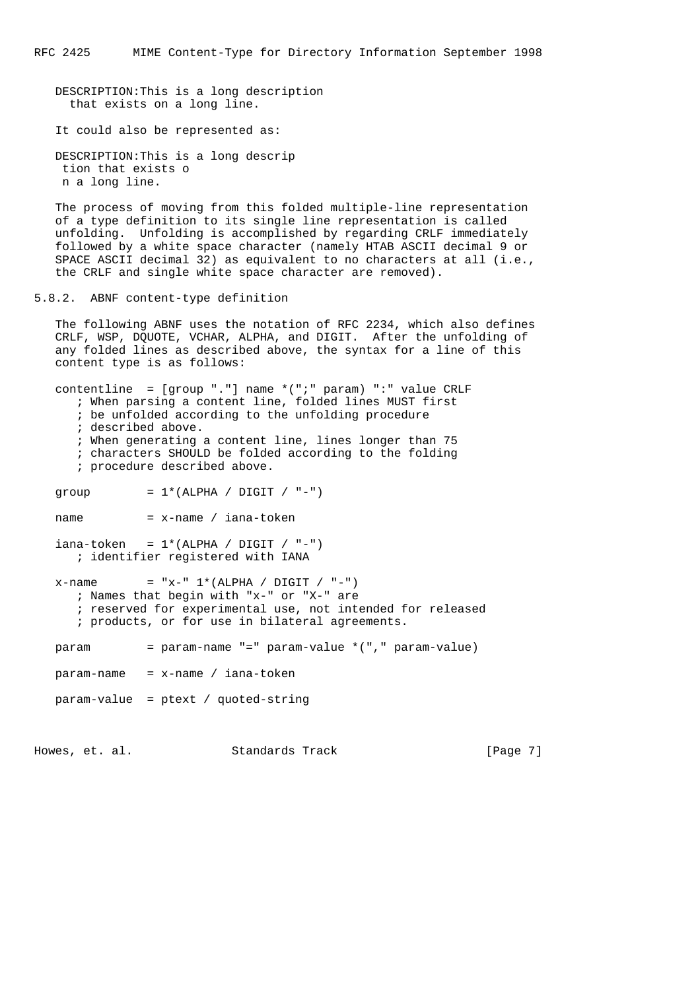DESCRIPTION:This is a long description that exists on a long line.

It could also be represented as:

```
 DESCRIPTION:This is a long descrip
 tion that exists o
 n a long line.
```
 The process of moving from this folded multiple-line representation of a type definition to its single line representation is called unfolding. Unfolding is accomplished by regarding CRLF immediately followed by a white space character (namely HTAB ASCII decimal 9 or SPACE ASCII decimal 32) as equivalent to no characters at all (i.e., the CRLF and single white space character are removed).

5.8.2. ABNF content-type definition

 The following ABNF uses the notation of RFC 2234, which also defines CRLF, WSP, DQUOTE, VCHAR, ALPHA, and DIGIT. After the unfolding of any folded lines as described above, the syntax for a line of this content type is as follows:

 contentline = [group "."] name \*(";" param) ":" value CRLF ; When parsing a content line, folded lines MUST first ; be unfolded according to the unfolding procedure ; described above. ; When generating a content line, lines longer than 75 ; characters SHOULD be folded according to the folding ; procedure described above. group  $= 1*(ALPHA / DIGIT / " -")$  $name$  =  $x$ -name / iana-token  $iana-token = 1*(ALPHA / DIGIT / " -")$  ; identifier registered with IANA x-name =  $x-x$ <sup>-"</sup> 1\*(ALPHA / DIGIT / "-") ; Names that begin with "x-" or "X-" are ; reserved for experimental use, not intended for released ; products, or for use in bilateral agreements. param = param-name "=" param-value \*("," param-value)  $param$ -name =  $x$ -name / iana-token param-value = ptext / quoted-string

Howes, et. al. Standards Track [Page 7]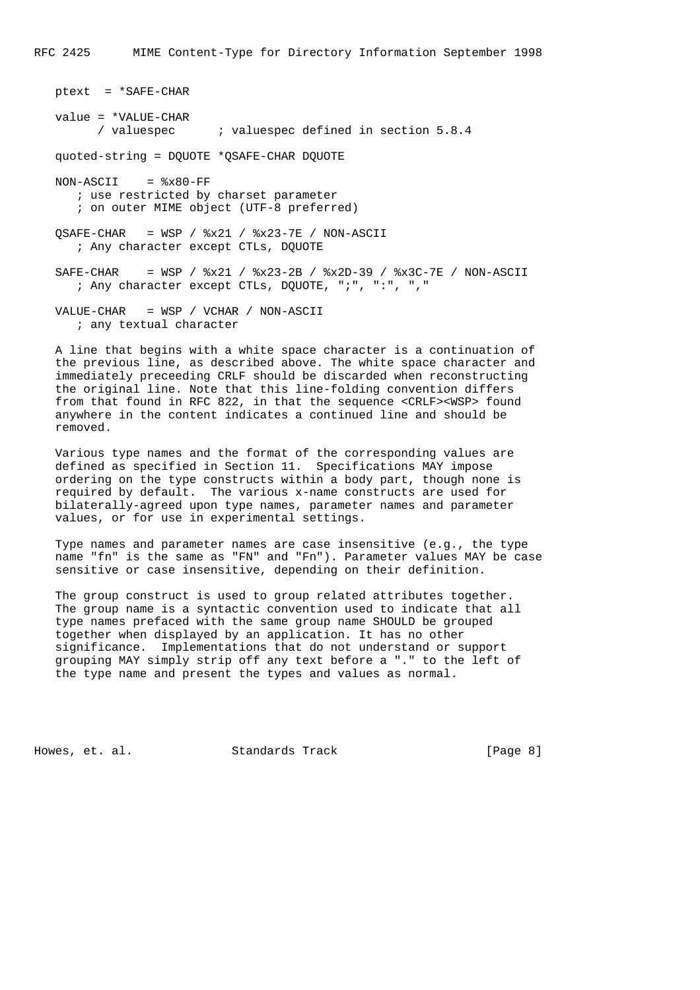ptext = \*SAFE-CHAR value = \*VALUE-CHAR / valuespec ; valuespec defined in section 5.8.4 quoted-string = DQUOTE \*QSAFE-CHAR DQUOTE  $NON-ASCII$  =  $%x80-FF$  ; use restricted by charset parameter ; on outer MIME object (UTF-8 preferred)  $QSAFE-CHAR$  = WSP /  $x21$  /  $x23-7E$  / NON-ASCII ; Any character except CTLs, DQUOTE SAFE-CHAR = WSP / %x21 / %x23-2B / %x2D-39 / %x3C-7E / NON-ASCII ; Any character except CTLs, DQUOTE, ";", ":", "," VALUE-CHAR = WSP / VCHAR / NON-ASCII ; any textual character

 A line that begins with a white space character is a continuation of the previous line, as described above. The white space character and immediately preceeding CRLF should be discarded when reconstructing the original line. Note that this line-folding convention differs from that found in RFC 822, in that the sequence <CRLF><WSP> found anywhere in the content indicates a continued line and should be removed.

 Various type names and the format of the corresponding values are defined as specified in Section 11. Specifications MAY impose ordering on the type constructs within a body part, though none is required by default. The various x-name constructs are used for bilaterally-agreed upon type names, parameter names and parameter values, or for use in experimental settings.

 Type names and parameter names are case insensitive (e.g., the type name "fn" is the same as "FN" and "Fn"). Parameter values MAY be case sensitive or case insensitive, depending on their definition.

 The group construct is used to group related attributes together. The group name is a syntactic convention used to indicate that all type names prefaced with the same group name SHOULD be grouped together when displayed by an application. It has no other significance. Implementations that do not understand or support grouping MAY simply strip off any text before a "." to the left of the type name and present the types and values as normal.

Howes, et. al. Standards Track [Page 8]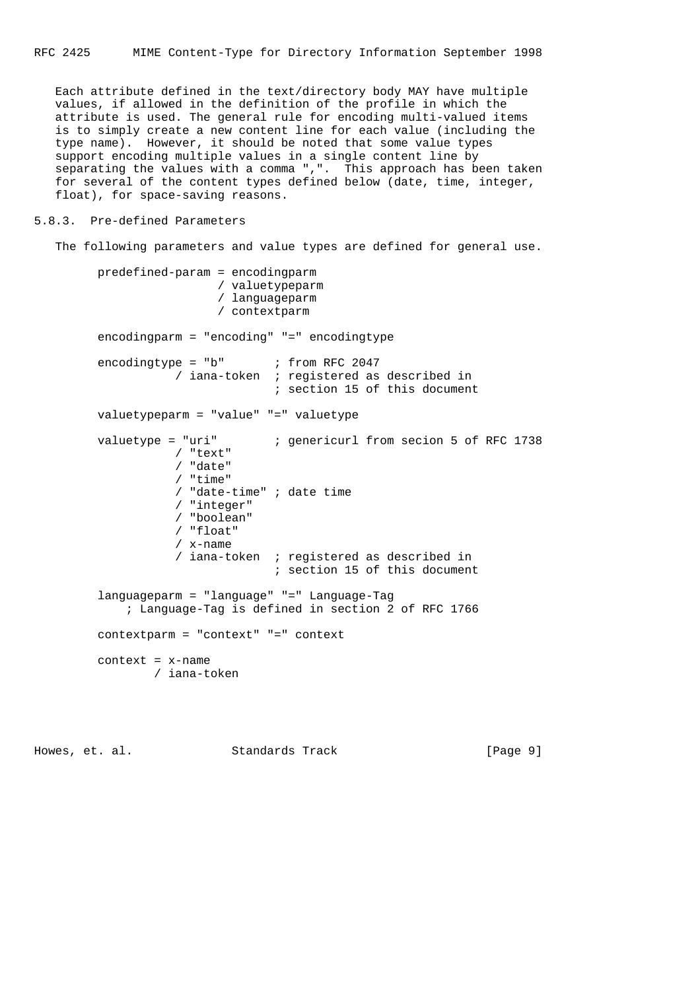Each attribute defined in the text/directory body MAY have multiple values, if allowed in the definition of the profile in which the attribute is used. The general rule for encoding multi-valued items is to simply create a new content line for each value (including the type name). However, it should be noted that some value types support encoding multiple values in a single content line by separating the values with a comma ",". This approach has been taken for several of the content types defined below (date, time, integer, float), for space-saving reasons.

## 5.8.3. Pre-defined Parameters

```
 The following parameters and value types are defined for general use.
```

```
 predefined-param = encodingparm
                          / valuetypeparm
                          / languageparm
                          / contextparm
         encodingparm = "encoding" "=" encodingtype
encodingtype = "b" ; from RFC 2047
 / iana-token ; registered as described in
                                 ; section 15 of this document
         valuetypeparm = "value" "=" valuetype
         valuetype = "uri" ; genericurl from secion 5 of RFC 1738
                    / "text"
                    / "date"
                    / "time"
                    / "date-time" ; date time
                    / "integer"
                    / "boolean"
                    / "float"
                    / x-name
                    / iana-token ; registered as described in
                                  ; section 15 of this document
         languageparm = "language" "=" Language-Tag
             ; Language-Tag is defined in section 2 of RFC 1766
         contextparm = "context" "=" context
         context = x-name
                 / iana-token
```
Howes, et. al. Standards Track [Page 9]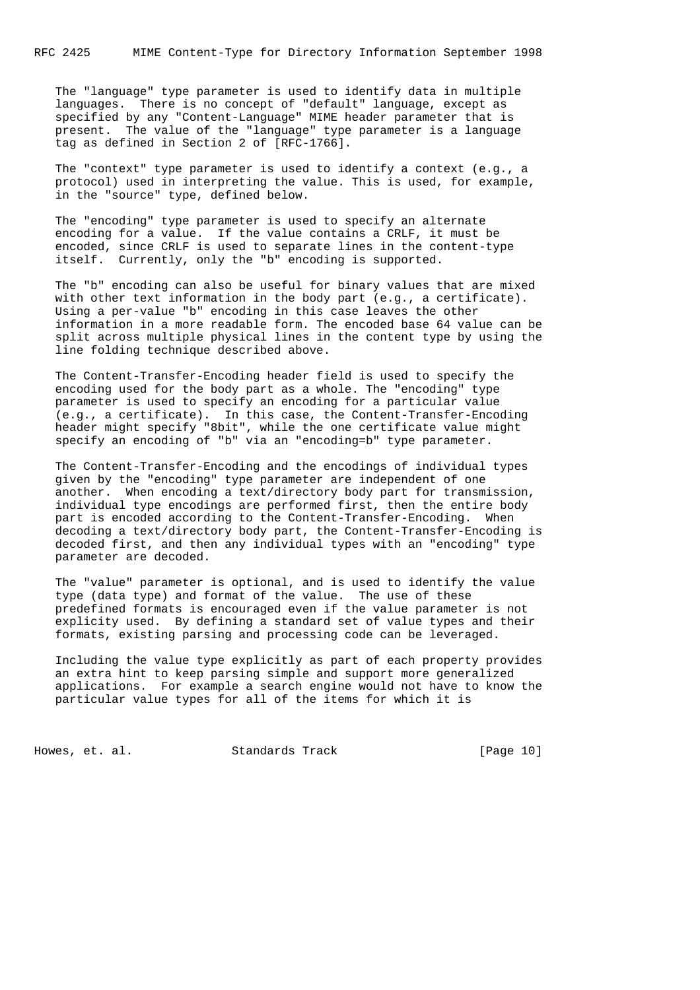RFC 2425 MIME Content-Type for Directory Information September 1998

 The "language" type parameter is used to identify data in multiple languages. There is no concept of "default" language, except as specified by any "Content-Language" MIME header parameter that is present. The value of the "language" type parameter is a language tag as defined in Section 2 of [RFC-1766].

 The "context" type parameter is used to identify a context (e.g., a protocol) used in interpreting the value. This is used, for example, in the "source" type, defined below.

 The "encoding" type parameter is used to specify an alternate encoding for a value. If the value contains a CRLF, it must be encoded, since CRLF is used to separate lines in the content-type itself. Currently, only the "b" encoding is supported.

 The "b" encoding can also be useful for binary values that are mixed with other text information in the body part (e.g., a certificate). Using a per-value "b" encoding in this case leaves the other information in a more readable form. The encoded base 64 value can be split across multiple physical lines in the content type by using the line folding technique described above.

 The Content-Transfer-Encoding header field is used to specify the encoding used for the body part as a whole. The "encoding" type parameter is used to specify an encoding for a particular value (e.g., a certificate). In this case, the Content-Transfer-Encoding header might specify "8bit", while the one certificate value might specify an encoding of "b" via an "encoding=b" type parameter.

 The Content-Transfer-Encoding and the encodings of individual types given by the "encoding" type parameter are independent of one another. When encoding a text/directory body part for transmission, individual type encodings are performed first, then the entire body part is encoded according to the Content-Transfer-Encoding. When decoding a text/directory body part, the Content-Transfer-Encoding is decoded first, and then any individual types with an "encoding" type parameter are decoded.

 The "value" parameter is optional, and is used to identify the value type (data type) and format of the value. The use of these predefined formats is encouraged even if the value parameter is not explicity used. By defining a standard set of value types and their formats, existing parsing and processing code can be leveraged.

 Including the value type explicitly as part of each property provides an extra hint to keep parsing simple and support more generalized applications. For example a search engine would not have to know the particular value types for all of the items for which it is

Howes, et. al. Standards Track [Page 10]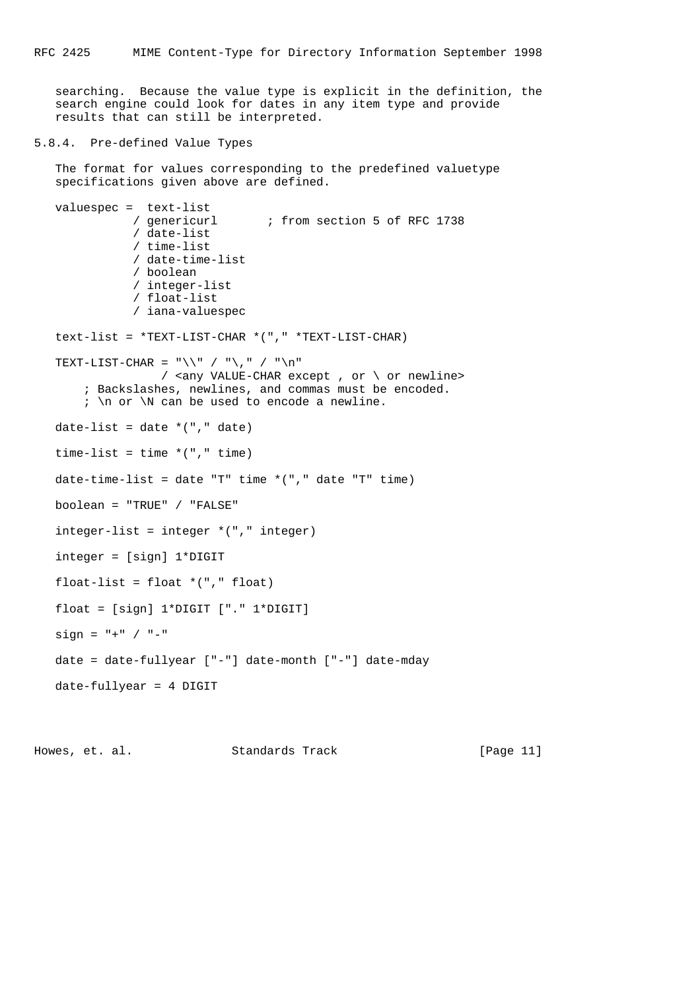searching. Because the value type is explicit in the definition, the search engine could look for dates in any item type and provide results that can still be interpreted.

# 5.8.4. Pre-defined Value Types

```
 The format for values corresponding to the predefined valuetype
 specifications given above are defined.
```

```
 valuespec = text-list
                    / genericurl ; from section 5 of RFC 1738
                     / date-list
                     / time-list
                     / date-time-list
                      / boolean
                     / integer-list
                     / float-list
                     / iana-valuespec
     text-list = *TEXT-LIST-CHAR *("," *TEXT-LIST-CHAR)
    TEXT-LIST-CHAR = "\(\n\mathcal{N} \mathcal{N} \mathcal{N} \mathcal{N} \mathcal{N} \mathcal{N} \mathcal{N} \mathcal{N} \mathcal{N} \mathcal{N} \mathcal{N} \mathcal{N} \mathcal{N} \mathcal{N} \mathcal{N} \mathcal{N} \mathcal{N} \mathcal{N} \mathcal{N} \mathcal{N} \mathcal{N} \mathcal{N} \mathcal{N} \mathcal{N} \mathcal{N} \mathcal{N} \mathcal{N} \mathcal{N} \mathcal{N} \mathcal{N} \mathcal{N} \mathcal{N} \mathcal{N} \math / <any VALUE-CHAR except , or \ or newline>
 ; Backslashes, newlines, and commas must be encoded.
          ; \n\times \mathbb{N} can be used to encode a newline.
    date-list = date * ("," date)time-list = time *(", " time)date-time-list = date "T" time *("," date "T" time)
     boolean = "TRUE" / "FALSE"
    integer-list = integer *(", " integer)
     integer = [sign] 1*DIGIT
     float-list = float *("," float)
     float = [sign] 1*DIGIT ["." 1*DIGIT]
    sign = " + " / " -" date = date-fullyear ["-"] date-month ["-"] date-mday
     date-fullyear = 4 DIGIT
```
Howes, et. al. Standards Track [Page 11]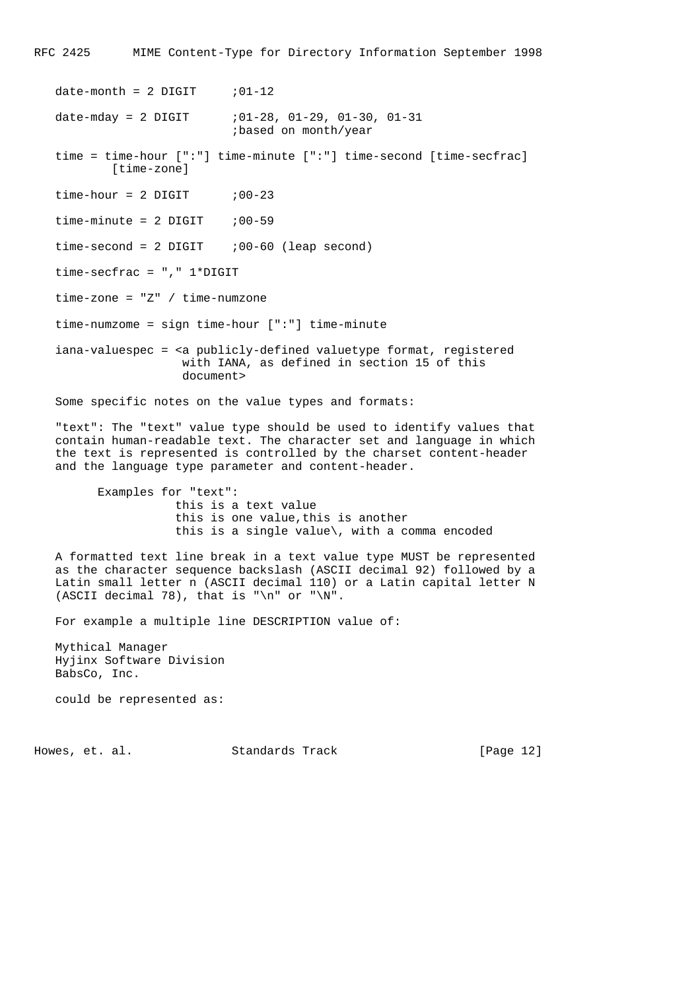RFC 2425 MIME Content-Type for Directory Information September 1998

 $date-month = 2 DIGIT$  ; 01-12 date-mday = 2 DIGIT  $i01-28$ ,  $01-29$ ,  $01-30$ ,  $01-31$  ;based on month/year time = time-hour [":"] time-minute [":"] time-second [time-secfrac] [time-zone]  $time-hour = 2 DIGIT$  ; 00-23  $time-minute = 2 DIGIT$  ; 00-59  $time-second = 2 DIGIT$  ; 00-60 (leap second) time-secfrac = "," 1\*DIGIT time-zone = "Z" / time-numzone time-numzome = sign time-hour [":"] time-minute iana-valuespec = <a publicly-defined valuetype format, registered with IANA, as defined in section 15 of this document> Some specific notes on the value types and formats:

 "text": The "text" value type should be used to identify values that contain human-readable text. The character set and language in which the text is represented is controlled by the charset content-header and the language type parameter and content-header.

 Examples for "text": this is a text value this is one value,this is another this is a single value\, with a comma encoded

 A formatted text line break in a text value type MUST be represented as the character sequence backslash (ASCII decimal 92) followed by a Latin small letter n (ASCII decimal 110) or a Latin capital letter N (ASCII decimal 78), that is "\n" or "\N".

For example a multiple line DESCRIPTION value of:

 Mythical Manager Hyjinx Software Division BabsCo, Inc.

could be represented as:

Howes, et. al. Standards Track [Page 12]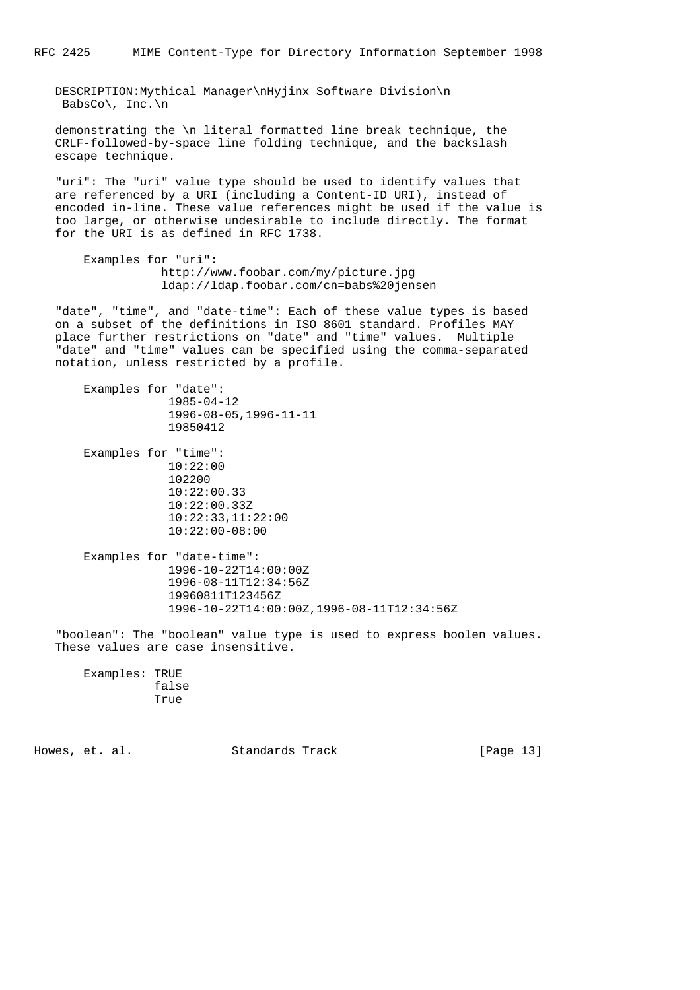DESCRIPTION:Mythical Manager\nHyjinx Software Division\n BabsCo\, Inc.\n

 demonstrating the \n literal formatted line break technique, the CRLF-followed-by-space line folding technique, and the backslash escape technique.

 "uri": The "uri" value type should be used to identify values that are referenced by a URI (including a Content-ID URI), instead of encoded in-line. These value references might be used if the value is too large, or otherwise undesirable to include directly. The format for the URI is as defined in RFC 1738.

```
 Examples for "uri":
            http://www.foobar.com/my/picture.jpg
            ldap://ldap.foobar.com/cn=babs%20jensen
```
 "date", "time", and "date-time": Each of these value types is based on a subset of the definitions in ISO 8601 standard. Profiles MAY place further restrictions on "date" and "time" values. Multiple "date" and "time" values can be specified using the comma-separated notation, unless restricted by a profile.

```
 Examples for "date":
             1985-04-12
              1996-08-05,1996-11-11
             19850412
 Examples for "time":
             10:22:00
             102200
             10:22:00.33
             10:22:00.33Z
             10:22:33,11:22:00
             10:22:00-08:00
 Examples for "date-time":
             1996-10-22T14:00:00Z
              1996-08-11T12:34:56Z
              19960811T123456Z
              1996-10-22T14:00:00Z,1996-08-11T12:34:56Z
```
 "boolean": The "boolean" value type is used to express boolen values. These values are case insensitive.

 Examples: TRUE false True

Howes, et. al. Standards Track [Page 13]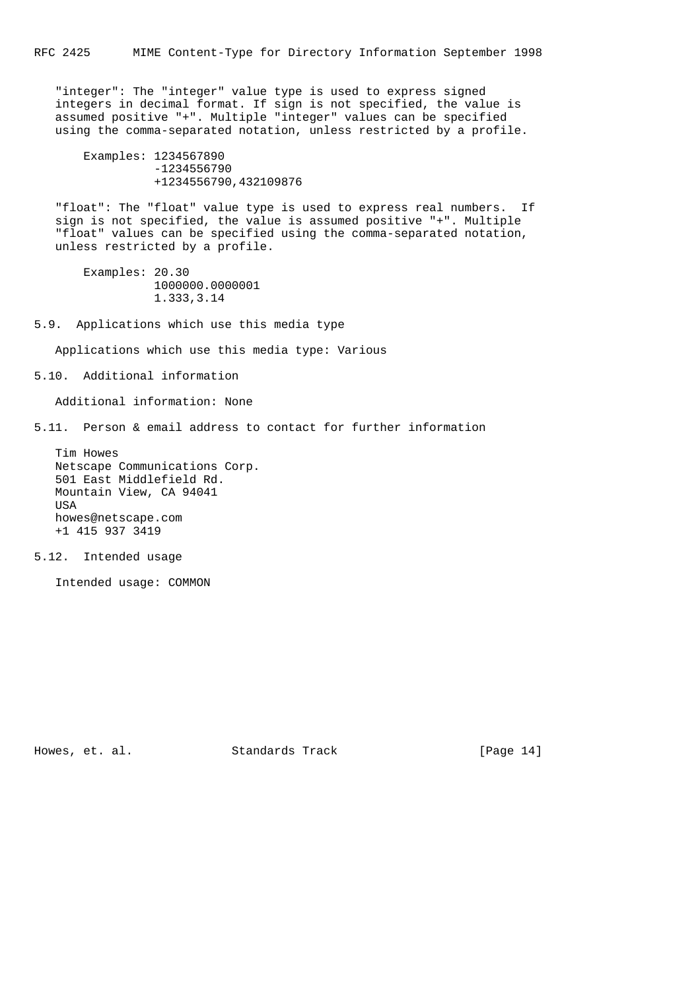"integer": The "integer" value type is used to express signed integers in decimal format. If sign is not specified, the value is assumed positive "+". Multiple "integer" values can be specified using the comma-separated notation, unless restricted by a profile.

 Examples: 1234567890 -1234556790 +1234556790,432109876

 "float": The "float" value type is used to express real numbers. If sign is not specified, the value is assumed positive "+". Multiple "float" values can be specified using the comma-separated notation, unless restricted by a profile.

 Examples: 20.30 1000000.0000001 1.333,3.14

5.9. Applications which use this media type

Applications which use this media type: Various

5.10. Additional information

Additional information: None

5.11. Person & email address to contact for further information

 Tim Howes Netscape Communications Corp. 501 East Middlefield Rd. Mountain View, CA 94041 USA howes@netscape.com +1 415 937 3419

5.12. Intended usage

Intended usage: COMMON

Howes, et. al. Standards Track [Page 14]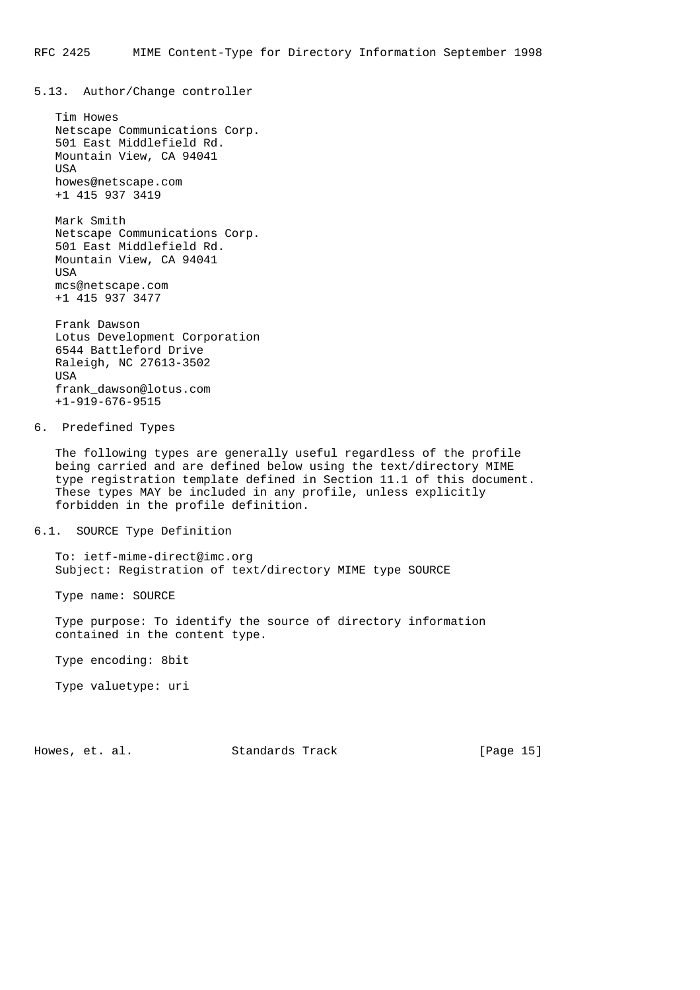5.13. Author/Change controller

```
 Tim Howes
 Netscape Communications Corp.
 501 East Middlefield Rd.
 Mountain View, CA 94041
 USA
 howes@netscape.com
 +1 415 937 3419
```
 Mark Smith Netscape Communications Corp. 501 East Middlefield Rd. Mountain View, CA 94041 **TISA**  mcs@netscape.com +1 415 937 3477

```
 Frank Dawson
 Lotus Development Corporation
 6544 Battleford Drive
 Raleigh, NC 27613-3502
 USA
 frank_dawson@lotus.com
 +1-919-676-9515
```
6. Predefined Types

 The following types are generally useful regardless of the profile being carried and are defined below using the text/directory MIME type registration template defined in Section 11.1 of this document. These types MAY be included in any profile, unless explicitly forbidden in the profile definition.

6.1. SOURCE Type Definition

 To: ietf-mime-direct@imc.org Subject: Registration of text/directory MIME type SOURCE

Type name: SOURCE

 Type purpose: To identify the source of directory information contained in the content type.

Type encoding: 8bit

Type valuetype: uri

Howes, et. al. Standards Track [Page 15]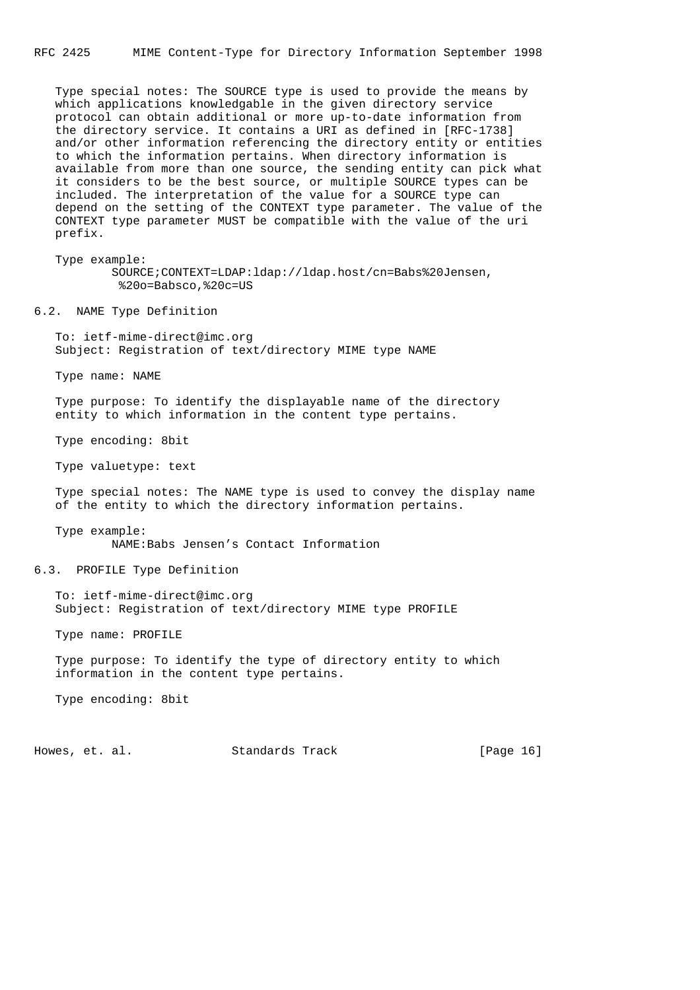Type special notes: The SOURCE type is used to provide the means by which applications knowledgable in the given directory service protocol can obtain additional or more up-to-date information from the directory service. It contains a URI as defined in [RFC-1738] and/or other information referencing the directory entity or entities to which the information pertains. When directory information is available from more than one source, the sending entity can pick what it considers to be the best source, or multiple SOURCE types can be included. The interpretation of the value for a SOURCE type can depend on the setting of the CONTEXT type parameter. The value of the CONTEXT type parameter MUST be compatible with the value of the uri prefix.

 Type example: SOURCE;CONTEXT=LDAP:ldap://ldap.host/cn=Babs%20Jensen, %20o=Babsco,%20c=US

6.2. NAME Type Definition

 To: ietf-mime-direct@imc.org Subject: Registration of text/directory MIME type NAME

Type name: NAME

 Type purpose: To identify the displayable name of the directory entity to which information in the content type pertains.

Type encoding: 8bit

Type valuetype: text

 Type special notes: The NAME type is used to convey the display name of the entity to which the directory information pertains.

Type example:

NAME:Babs Jensen's Contact Information

6.3. PROFILE Type Definition

 To: ietf-mime-direct@imc.org Subject: Registration of text/directory MIME type PROFILE

Type name: PROFILE

 Type purpose: To identify the type of directory entity to which information in the content type pertains.

Type encoding: 8bit

Howes, et. al. Standards Track [Page 16]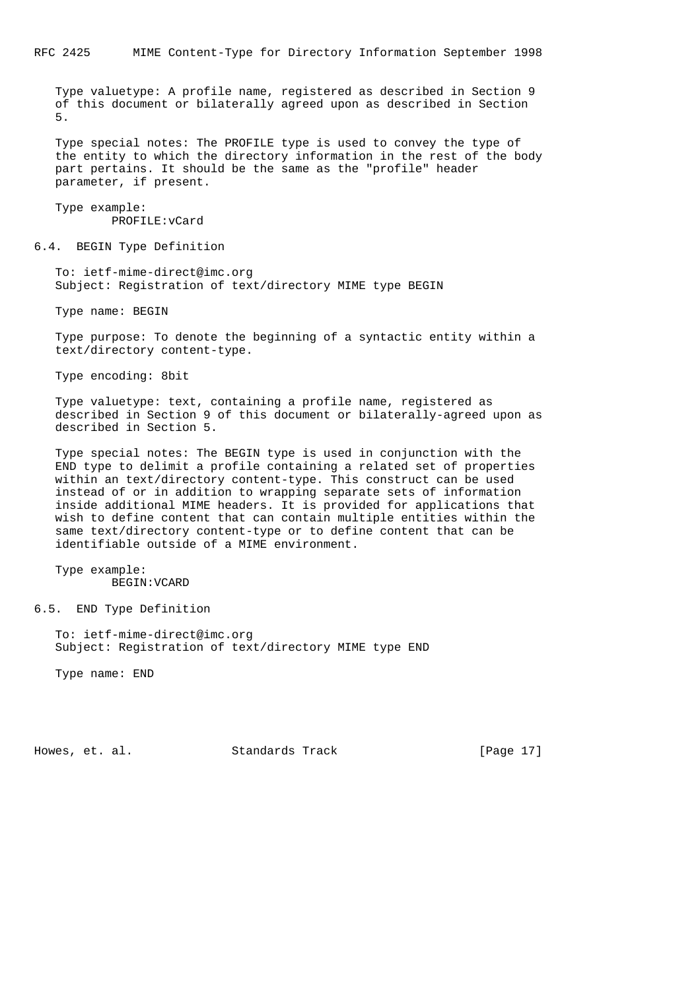Type valuetype: A profile name, registered as described in Section 9 of this document or bilaterally agreed upon as described in Section 5.

 Type special notes: The PROFILE type is used to convey the type of the entity to which the directory information in the rest of the body part pertains. It should be the same as the "profile" header parameter, if present.

 Type example: PROFILE:vCard

6.4. BEGIN Type Definition

 To: ietf-mime-direct@imc.org Subject: Registration of text/directory MIME type BEGIN

Type name: BEGIN

 Type purpose: To denote the beginning of a syntactic entity within a text/directory content-type.

Type encoding: 8bit

 Type valuetype: text, containing a profile name, registered as described in Section 9 of this document or bilaterally-agreed upon as described in Section 5.

 Type special notes: The BEGIN type is used in conjunction with the END type to delimit a profile containing a related set of properties within an text/directory content-type. This construct can be used instead of or in addition to wrapping separate sets of information inside additional MIME headers. It is provided for applications that wish to define content that can contain multiple entities within the same text/directory content-type or to define content that can be identifiable outside of a MIME environment.

 Type example: BEGIN:VCARD

6.5. END Type Definition

 To: ietf-mime-direct@imc.org Subject: Registration of text/directory MIME type END

Type name: END

Howes, et. al. Standards Track [Page 17]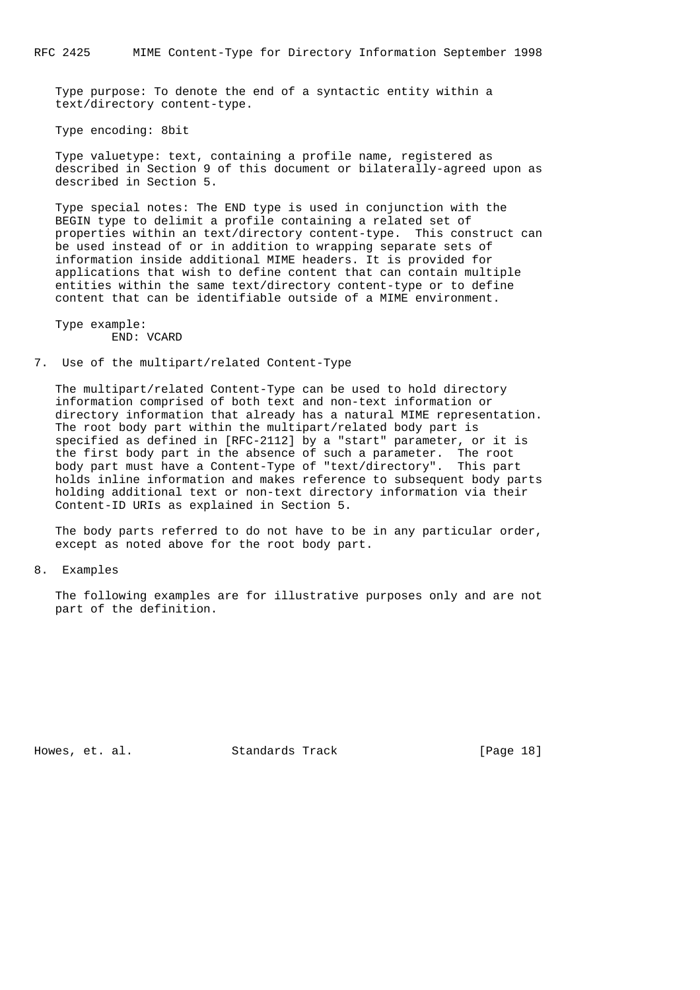Type purpose: To denote the end of a syntactic entity within a text/directory content-type.

Type encoding: 8bit

 Type valuetype: text, containing a profile name, registered as described in Section 9 of this document or bilaterally-agreed upon as described in Section 5.

 Type special notes: The END type is used in conjunction with the BEGIN type to delimit a profile containing a related set of properties within an text/directory content-type. This construct can be used instead of or in addition to wrapping separate sets of information inside additional MIME headers. It is provided for applications that wish to define content that can contain multiple entities within the same text/directory content-type or to define content that can be identifiable outside of a MIME environment.

 Type example: END: VCARD

7. Use of the multipart/related Content-Type

 The multipart/related Content-Type can be used to hold directory information comprised of both text and non-text information or directory information that already has a natural MIME representation. The root body part within the multipart/related body part is specified as defined in [RFC-2112] by a "start" parameter, or it is the first body part in the absence of such a parameter. The root body part must have a Content-Type of "text/directory". This part holds inline information and makes reference to subsequent body parts holding additional text or non-text directory information via their Content-ID URIs as explained in Section 5.

 The body parts referred to do not have to be in any particular order, except as noted above for the root body part.

8. Examples

 The following examples are for illustrative purposes only and are not part of the definition.

Howes, et. al. Standards Track [Page 18]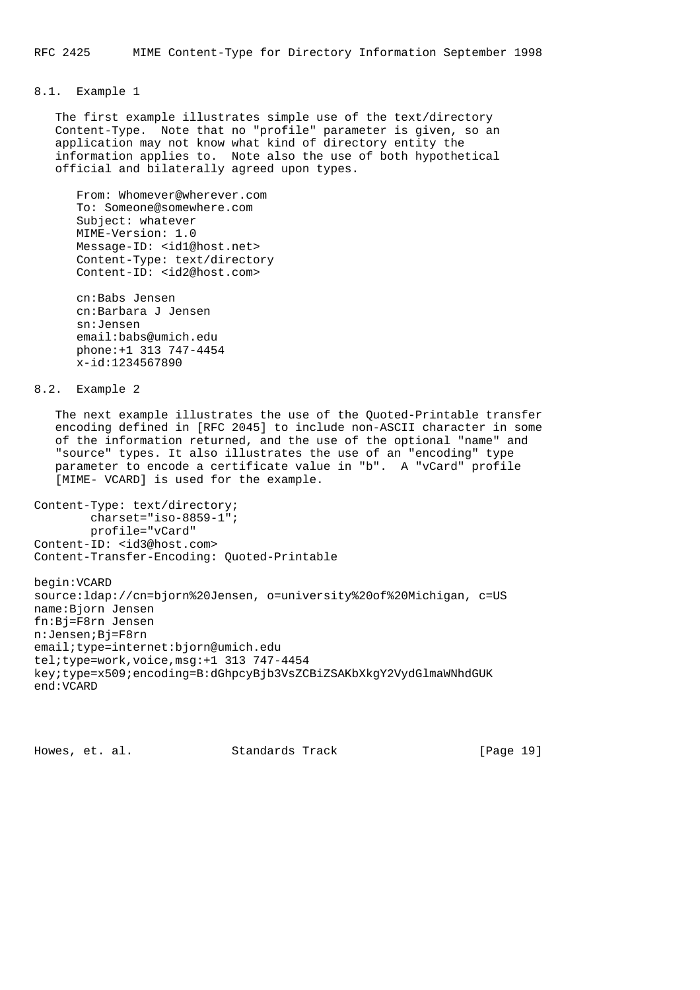# 8.1. Example 1

 The first example illustrates simple use of the text/directory Content-Type. Note that no "profile" parameter is given, so an application may not know what kind of directory entity the information applies to. Note also the use of both hypothetical official and bilaterally agreed upon types.

 From: Whomever@wherever.com To: Someone@somewhere.com Subject: whatever MIME-Version: 1.0 Message-ID: <id1@host.net> Content-Type: text/directory Content-ID: <id2@host.com>

 cn:Babs Jensen cn:Barbara J Jensen sn:Jensen email:babs@umich.edu phone:+1 313 747-4454 x-id:1234567890

8.2. Example 2

 The next example illustrates the use of the Quoted-Printable transfer encoding defined in [RFC 2045] to include non-ASCII character in some of the information returned, and the use of the optional "name" and "source" types. It also illustrates the use of an "encoding" type parameter to encode a certificate value in "b". A "vCard" profile [MIME- VCARD] is used for the example.

Content-Type: text/directory; charset="iso-8859-1"; profile="vCard" Content-ID: <id3@host.com> Content-Transfer-Encoding: Quoted-Printable

begin:VCARD source:ldap://cn=bjorn%20Jensen, o=university%20of%20Michigan, c=US name:Bjorn Jensen fn:Bj=F8rn Jensen n:Jensen;Bj=F8rn email;type=internet:bjorn@umich.edu tel;type=work,voice,msg:+1 313 747-4454 key;type=x509;encoding=B:dGhpcyBjb3VsZCBiZSAKbXkgY2VydGlmaWNhdGUK end:VCARD

Howes, et. al. Standards Track [Page 19]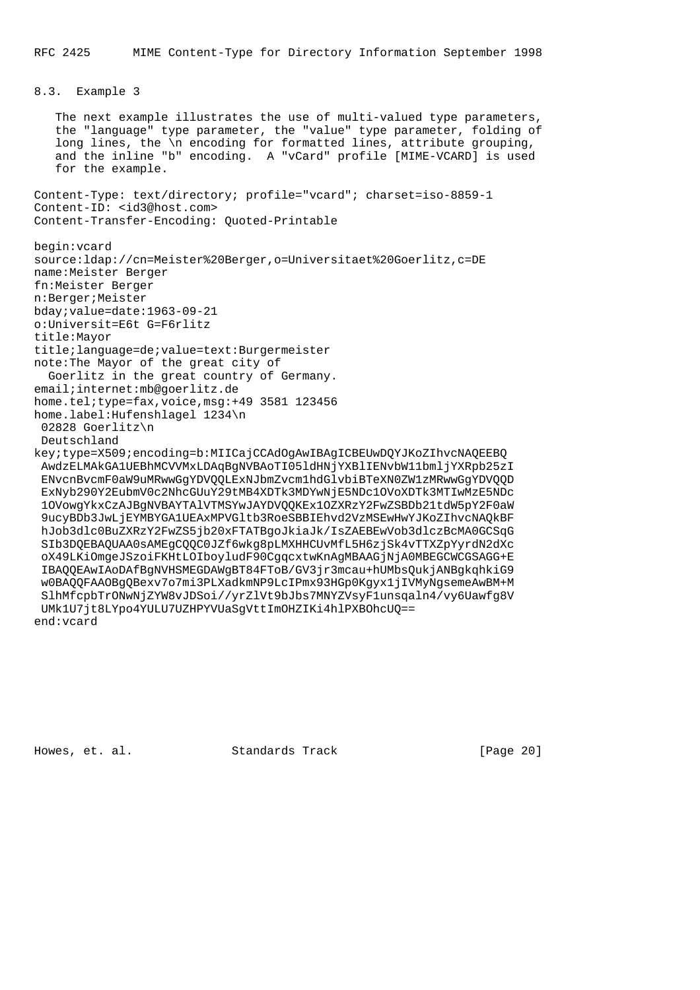```
8.3. Example 3
```
 The next example illustrates the use of multi-valued type parameters, the "language" type parameter, the "value" type parameter, folding of long lines, the \n encoding for formatted lines, attribute grouping, and the inline "b" encoding. A "vCard" profile [MIME-VCARD] is used for the example.

Content-Type: text/directory; profile="vcard"; charset=iso-8859-1 Content-ID: <id3@host.com> Content-Transfer-Encoding: Quoted-Printable

begin:vcard source:ldap://cn=Meister%20Berger,o=Universitaet%20Goerlitz,c=DE name:Meister Berger fn:Meister Berger n:Berger;Meister bday;value=date:1963-09-21 o:Universit=E6t G=F6rlitz title:Mayor title;language=de;value=text:Burgermeister note:The Mayor of the great city of Goerlitz in the great country of Germany. email;internet:mb@goerlitz.de home.tel;type=fax,voice,msg:+49 3581 123456 home.label:Hufenshlagel 1234\n 02828 Goerlitz\n Deutschland key;type=X509;encoding=b:MIICajCCAdOgAwIBAgICBEUwDQYJKoZIhvcNAQEEBQ AwdzELMAkGA1UEBhMCVVMxLDAqBgNVBAoTI05ldHNjYXBlIENvbW11bmljYXRpb25zI ENvcnBvcmF0aW9uMRwwGgYDVQQLExNJbmZvcm1hdGlvbiBTeXN0ZW1zMRwwGgYDVQQD ExNyb290Y2EubmV0c2NhcGUuY29tMB4XDTk3MDYwNjE5NDc1OVoXDTk3MTIwMzE5NDc 1OVowgYkxCzAJBgNVBAYTAlVTMSYwJAYDVQQKEx1OZXRzY2FwZSBDb21tdW5pY2F0aW 9ucyBDb3JwLjEYMBYGA1UEAxMPVGltb3RoeSBBIEhvd2VzMSEwHwYJKoZIhvcNAQkBF hJob3dlc0BuZXRzY2FwZS5jb20xFTATBgoJkiaJk/IsZAEBEwVob3dlczBcMA0GCSqG SIb3DQEBAQUAA0sAMEgCQQC0JZf6wkg8pLMXHHCUvMfL5H6zjSk4vTTXZpYyrdN2dXc oX49LKiOmgeJSzoiFKHtLOIboyludF90CgqcxtwKnAgMBAAGjNjA0MBEGCWCGSAGG+E IBAQQEAwIAoDAfBgNVHSMEGDAWgBT84FToB/GV3jr3mcau+hUMbsQukjANBgkqhkiG9 w0BAQQFAAOBgQBexv7o7mi3PLXadkmNP9LcIPmx93HGp0Kgyx1jIVMyNgsemeAwBM+M SlhMfcpbTrONwNjZYW8vJDSoi//yrZlVt9bJbs7MNYZVsyF1unsqaln4/vy6Uawfg8V UMk1U7jt8LYpo4YULU7UZHPYVUaSgVttImOHZIKi4hlPXBOhcUQ== end:vcard

Howes, et. al. Standards Track [Page 20]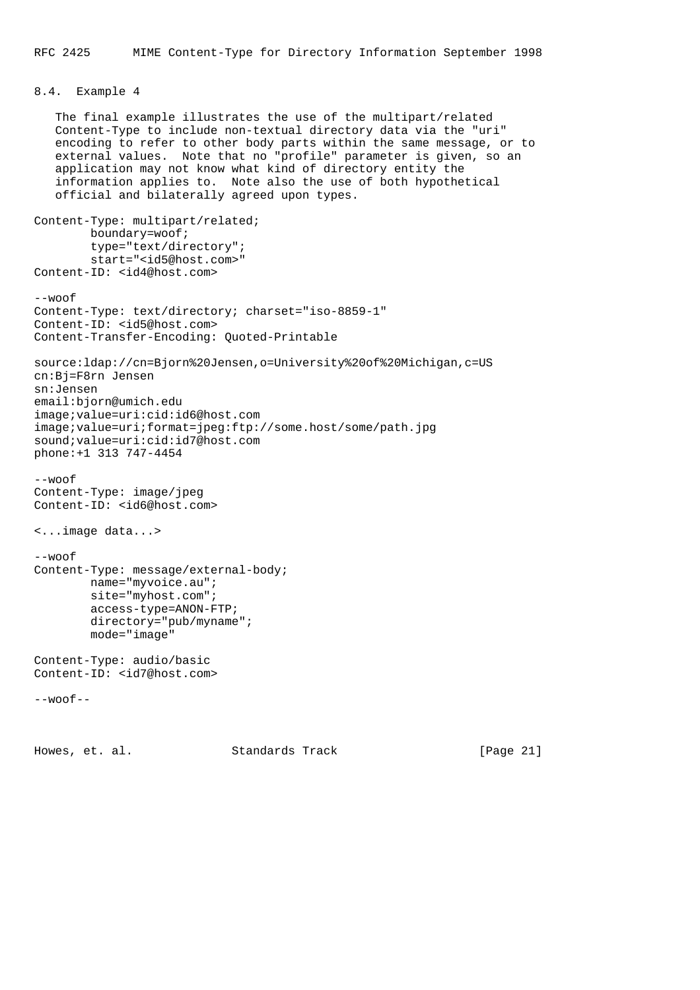# 8.4. Example 4

 The final example illustrates the use of the multipart/related Content-Type to include non-textual directory data via the "uri" encoding to refer to other body parts within the same message, or to external values. Note that no "profile" parameter is given, so an application may not know what kind of directory entity the information applies to. Note also the use of both hypothetical official and bilaterally agreed upon types. Content-Type: multipart/related; boundary=woof; type="text/directory"; start="<id5@host.com>" Content-ID: <id4@host.com> --woof Content-Type: text/directory; charset="iso-8859-1" Content-ID: <id5@host.com> Content-Transfer-Encoding: Quoted-Printable source:ldap://cn=Bjorn%20Jensen,o=University%20of%20Michigan,c=US cn:Bj=F8rn Jensen sn:Jensen email:bjorn@umich.edu image;value=uri:cid:id6@host.com image;value=uri;format=jpeg:ftp://some.host/some/path.jpg sound;value=uri:cid:id7@host.com phone:+1 313 747-4454  $--$ woof Content-Type: image/jpeg Content-ID: <id6@host.com> <...image data...> --woof Content-Type: message/external-body; name="myvoice.au"; site="myhost.com"; access-type=ANON-FTP; directory="pub/myname"; mode="image" Content-Type: audio/basic Content-ID: <id7@host.com>  $--woof--$ Howes, et. al. Standards Track [Page 21]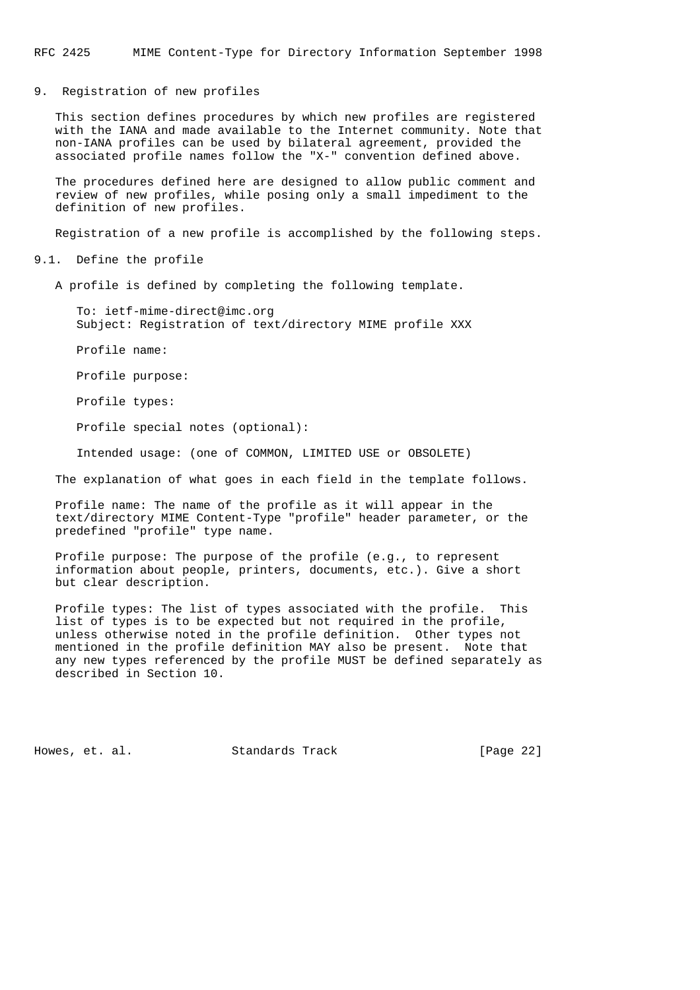RFC 2425 MIME Content-Type for Directory Information September 1998

9. Registration of new profiles

 This section defines procedures by which new profiles are registered with the IANA and made available to the Internet community. Note that non-IANA profiles can be used by bilateral agreement, provided the associated profile names follow the "X-" convention defined above.

 The procedures defined here are designed to allow public comment and review of new profiles, while posing only a small impediment to the definition of new profiles.

Registration of a new profile is accomplished by the following steps.

9.1. Define the profile

A profile is defined by completing the following template.

 To: ietf-mime-direct@imc.org Subject: Registration of text/directory MIME profile XXX

Profile name:

Profile purpose:

Profile types:

Profile special notes (optional):

Intended usage: (one of COMMON, LIMITED USE or OBSOLETE)

The explanation of what goes in each field in the template follows.

 Profile name: The name of the profile as it will appear in the text/directory MIME Content-Type "profile" header parameter, or the predefined "profile" type name.

 Profile purpose: The purpose of the profile (e.g., to represent information about people, printers, documents, etc.). Give a short but clear description.

 Profile types: The list of types associated with the profile. This list of types is to be expected but not required in the profile, unless otherwise noted in the profile definition. Other types not mentioned in the profile definition MAY also be present. Note that any new types referenced by the profile MUST be defined separately as described in Section 10.

Howes, et. al. Standards Track [Page 22]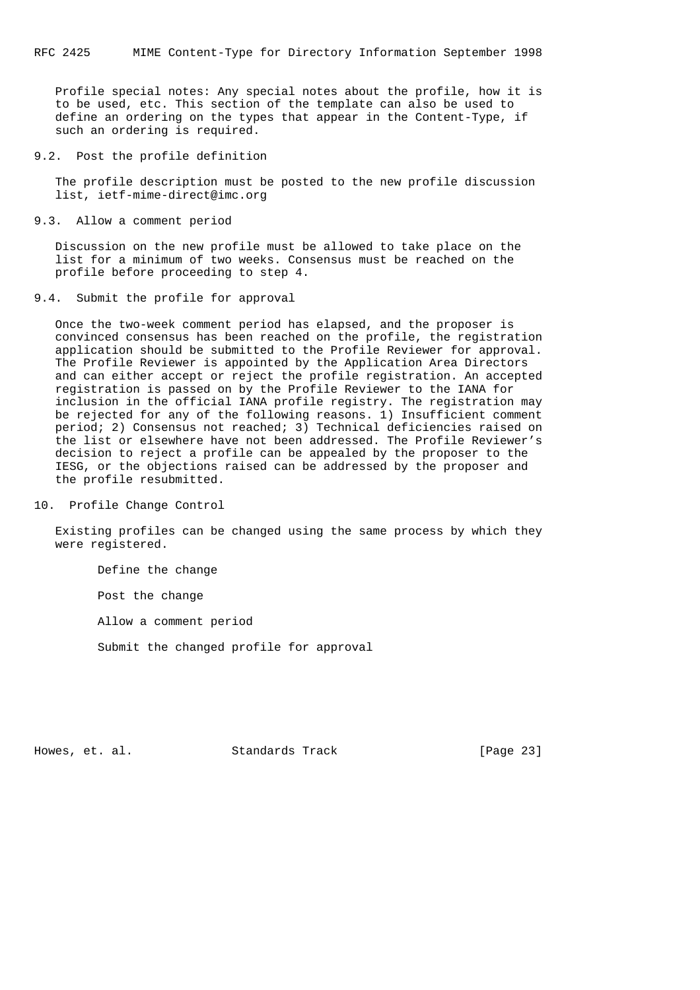Profile special notes: Any special notes about the profile, how it is to be used, etc. This section of the template can also be used to define an ordering on the types that appear in the Content-Type, if such an ordering is required.

9.2. Post the profile definition

 The profile description must be posted to the new profile discussion list, ietf-mime-direct@imc.org

9.3. Allow a comment period

 Discussion on the new profile must be allowed to take place on the list for a minimum of two weeks. Consensus must be reached on the profile before proceeding to step 4.

9.4. Submit the profile for approval

 Once the two-week comment period has elapsed, and the proposer is convinced consensus has been reached on the profile, the registration application should be submitted to the Profile Reviewer for approval. The Profile Reviewer is appointed by the Application Area Directors and can either accept or reject the profile registration. An accepted registration is passed on by the Profile Reviewer to the IANA for inclusion in the official IANA profile registry. The registration may be rejected for any of the following reasons. 1) Insufficient comment period; 2) Consensus not reached; 3) Technical deficiencies raised on the list or elsewhere have not been addressed. The Profile Reviewer's decision to reject a profile can be appealed by the proposer to the IESG, or the objections raised can be addressed by the proposer and the profile resubmitted.

10. Profile Change Control

 Existing profiles can be changed using the same process by which they were registered.

Define the change

Post the change

Allow a comment period

Submit the changed profile for approval

Howes, et. al. Standards Track [Page 23]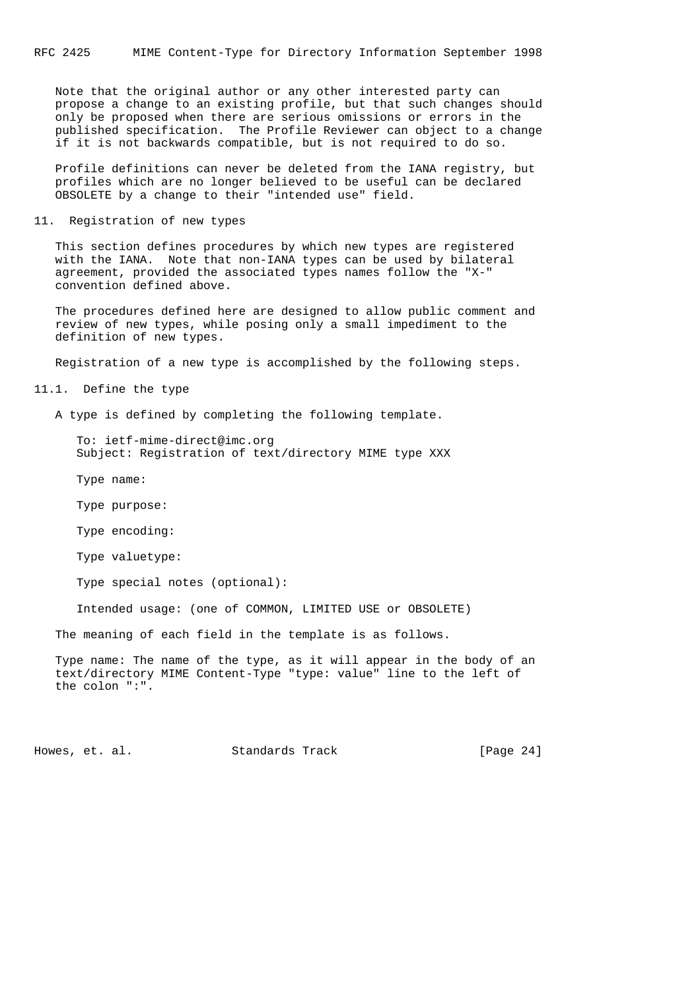Note that the original author or any other interested party can propose a change to an existing profile, but that such changes should only be proposed when there are serious omissions or errors in the published specification. The Profile Reviewer can object to a change if it is not backwards compatible, but is not required to do so.

 Profile definitions can never be deleted from the IANA registry, but profiles which are no longer believed to be useful can be declared OBSOLETE by a change to their "intended use" field.

11. Registration of new types

 This section defines procedures by which new types are registered with the IANA. Note that non-IANA types can be used by bilateral agreement, provided the associated types names follow the "X-" convention defined above.

 The procedures defined here are designed to allow public comment and review of new types, while posing only a small impediment to the definition of new types.

Registration of a new type is accomplished by the following steps.

11.1. Define the type

A type is defined by completing the following template.

 To: ietf-mime-direct@imc.org Subject: Registration of text/directory MIME type XXX

Type name:

Type purpose:

Type encoding:

Type valuetype:

Type special notes (optional):

Intended usage: (one of COMMON, LIMITED USE or OBSOLETE)

The meaning of each field in the template is as follows.

 Type name: The name of the type, as it will appear in the body of an text/directory MIME Content-Type "type: value" line to the left of the colon ":".

Howes, et. al. Standards Track [Page 24]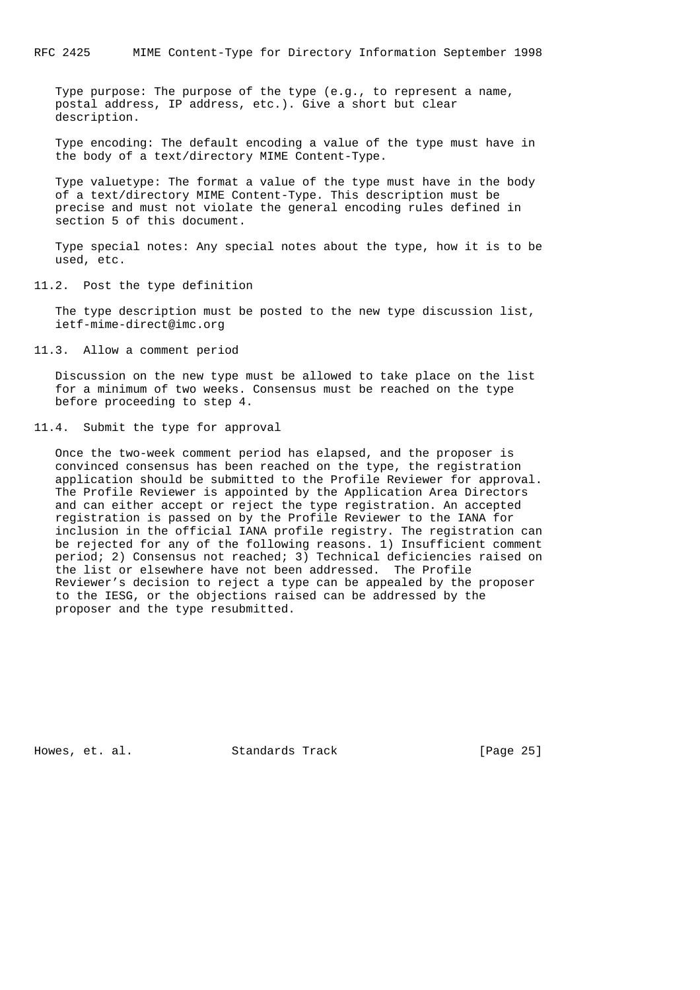Type purpose: The purpose of the type (e.g., to represent a name, postal address, IP address, etc.). Give a short but clear description.

 Type encoding: The default encoding a value of the type must have in the body of a text/directory MIME Content-Type.

 Type valuetype: The format a value of the type must have in the body of a text/directory MIME Content-Type. This description must be precise and must not violate the general encoding rules defined in section 5 of this document.

 Type special notes: Any special notes about the type, how it is to be used, etc.

# 11.2. Post the type definition

 The type description must be posted to the new type discussion list, ietf-mime-direct@imc.org

11.3. Allow a comment period

 Discussion on the new type must be allowed to take place on the list for a minimum of two weeks. Consensus must be reached on the type before proceeding to step 4.

## 11.4. Submit the type for approval

 Once the two-week comment period has elapsed, and the proposer is convinced consensus has been reached on the type, the registration application should be submitted to the Profile Reviewer for approval. The Profile Reviewer is appointed by the Application Area Directors and can either accept or reject the type registration. An accepted registration is passed on by the Profile Reviewer to the IANA for inclusion in the official IANA profile registry. The registration can be rejected for any of the following reasons. 1) Insufficient comment period; 2) Consensus not reached; 3) Technical deficiencies raised on the list or elsewhere have not been addressed. The Profile Reviewer's decision to reject a type can be appealed by the proposer to the IESG, or the objections raised can be addressed by the proposer and the type resubmitted.

Howes, et. al. Standards Track [Page 25]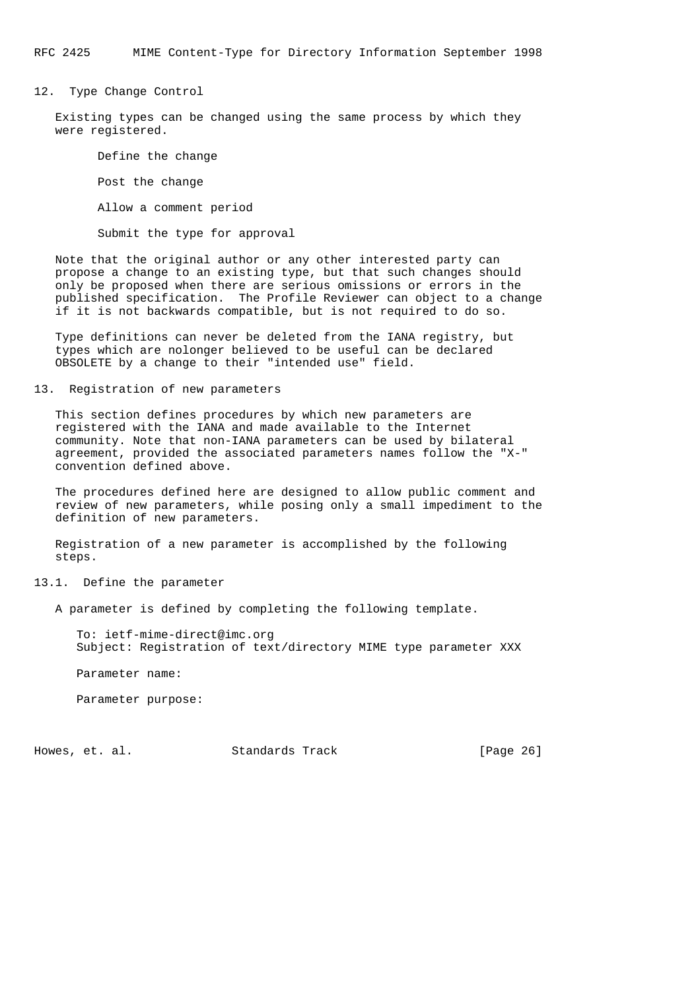RFC 2425 MIME Content-Type for Directory Information September 1998

12. Type Change Control

 Existing types can be changed using the same process by which they were registered.

 Define the change Post the change Allow a comment period Submit the type for approval

 Note that the original author or any other interested party can propose a change to an existing type, but that such changes should only be proposed when there are serious omissions or errors in the published specification. The Profile Reviewer can object to a change if it is not backwards compatible, but is not required to do so.

 Type definitions can never be deleted from the IANA registry, but types which are nolonger believed to be useful can be declared OBSOLETE by a change to their "intended use" field.

13. Registration of new parameters

 This section defines procedures by which new parameters are registered with the IANA and made available to the Internet community. Note that non-IANA parameters can be used by bilateral agreement, provided the associated parameters names follow the "X-" convention defined above.

 The procedures defined here are designed to allow public comment and review of new parameters, while posing only a small impediment to the definition of new parameters.

 Registration of a new parameter is accomplished by the following steps.

13.1. Define the parameter

A parameter is defined by completing the following template.

 To: ietf-mime-direct@imc.org Subject: Registration of text/directory MIME type parameter XXX

Parameter name:

Parameter purpose:

Howes, et. al. Standards Track [Page 26]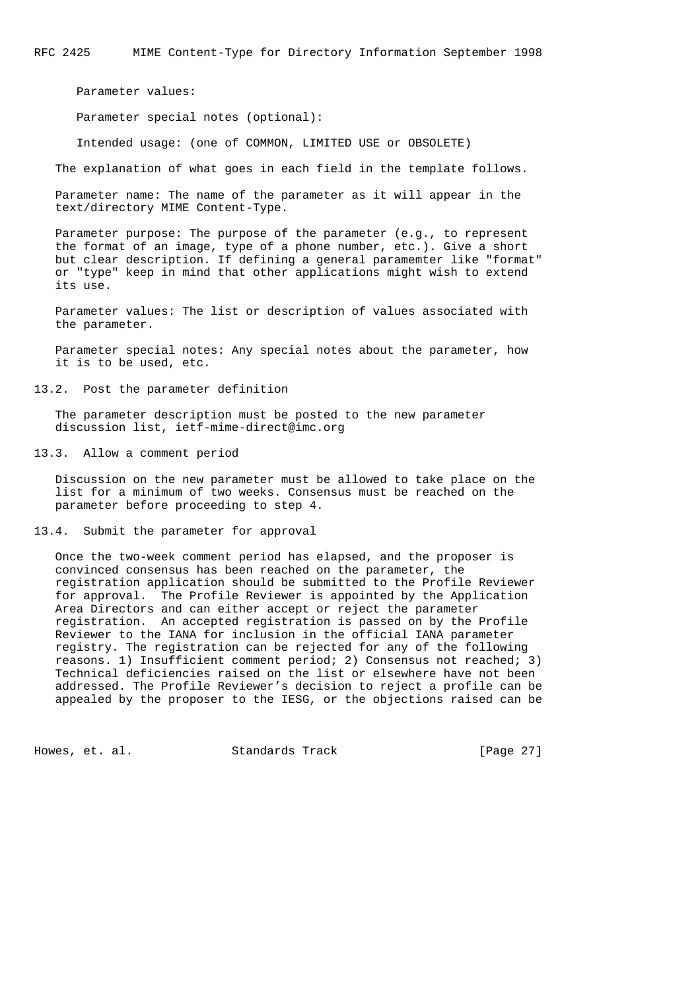Parameter values:

Parameter special notes (optional):

Intended usage: (one of COMMON, LIMITED USE or OBSOLETE)

The explanation of what goes in each field in the template follows.

 Parameter name: The name of the parameter as it will appear in the text/directory MIME Content-Type.

 Parameter purpose: The purpose of the parameter (e.g., to represent the format of an image, type of a phone number, etc.). Give a short but clear description. If defining a general paramemter like "format" or "type" keep in mind that other applications might wish to extend its use.

 Parameter values: The list or description of values associated with the parameter.

 Parameter special notes: Any special notes about the parameter, how it is to be used, etc.

13.2. Post the parameter definition

 The parameter description must be posted to the new parameter discussion list, ietf-mime-direct@imc.org

13.3. Allow a comment period

 Discussion on the new parameter must be allowed to take place on the list for a minimum of two weeks. Consensus must be reached on the parameter before proceeding to step 4.

13.4. Submit the parameter for approval

 Once the two-week comment period has elapsed, and the proposer is convinced consensus has been reached on the parameter, the registration application should be submitted to the Profile Reviewer for approval. The Profile Reviewer is appointed by the Application Area Directors and can either accept or reject the parameter registration. An accepted registration is passed on by the Profile Reviewer to the IANA for inclusion in the official IANA parameter registry. The registration can be rejected for any of the following reasons. 1) Insufficient comment period; 2) Consensus not reached; 3) Technical deficiencies raised on the list or elsewhere have not been addressed. The Profile Reviewer's decision to reject a profile can be appealed by the proposer to the IESG, or the objections raised can be

Howes, et. al. Standards Track [Page 27]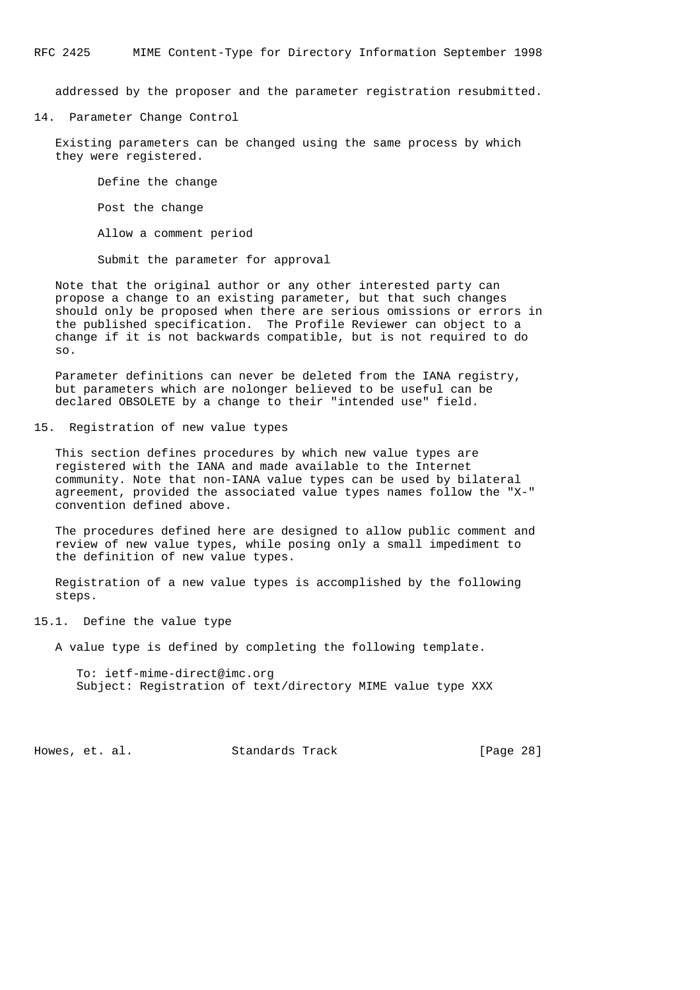addressed by the proposer and the parameter registration resubmitted.

14. Parameter Change Control

 Existing parameters can be changed using the same process by which they were registered.

 Define the change Post the change Allow a comment period

Submit the parameter for approval

 Note that the original author or any other interested party can propose a change to an existing parameter, but that such changes should only be proposed when there are serious omissions or errors in the published specification. The Profile Reviewer can object to a change if it is not backwards compatible, but is not required to do so.

 Parameter definitions can never be deleted from the IANA registry, but parameters which are nolonger believed to be useful can be declared OBSOLETE by a change to their "intended use" field.

15. Registration of new value types

 This section defines procedures by which new value types are registered with the IANA and made available to the Internet community. Note that non-IANA value types can be used by bilateral agreement, provided the associated value types names follow the "X-" convention defined above.

 The procedures defined here are designed to allow public comment and review of new value types, while posing only a small impediment to the definition of new value types.

 Registration of a new value types is accomplished by the following steps.

15.1. Define the value type

A value type is defined by completing the following template.

 To: ietf-mime-direct@imc.org Subject: Registration of text/directory MIME value type XXX

Howes, et. al. Standards Track [Page 28]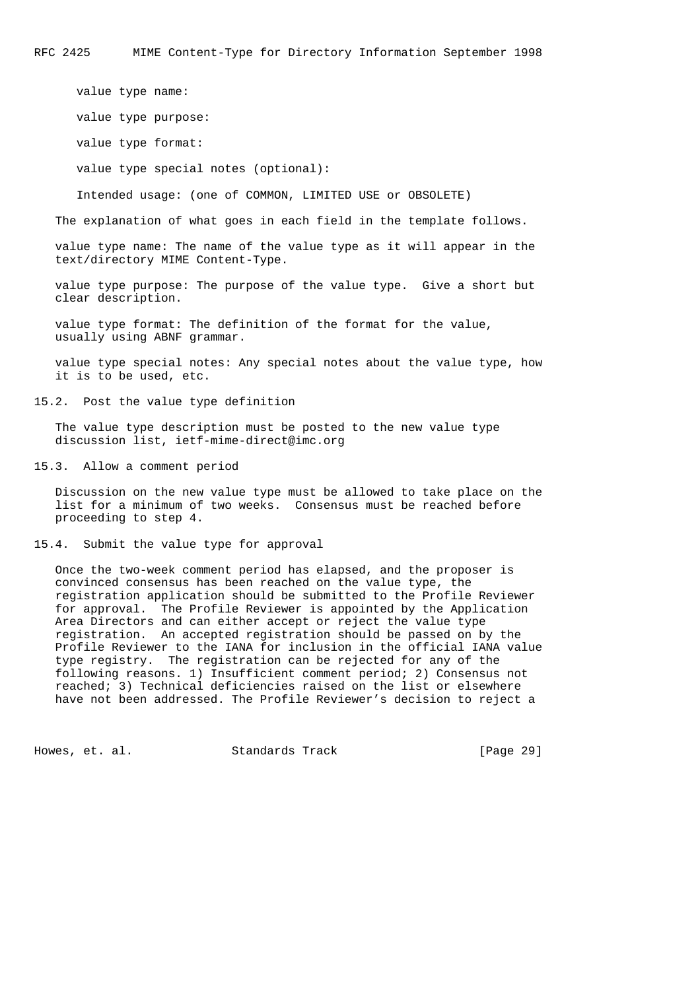value type name: value type purpose: value type format: value type special notes (optional): Intended usage: (one of COMMON, LIMITED USE or OBSOLETE) The explanation of what goes in each field in the template follows. value type name: The name of the value type as it will appear in the

 value type purpose: The purpose of the value type. Give a short but clear description.

 value type format: The definition of the format for the value, usually using ABNF grammar.

 value type special notes: Any special notes about the value type, how it is to be used, etc.

15.2. Post the value type definition

text/directory MIME Content-Type.

 The value type description must be posted to the new value type discussion list, ietf-mime-direct@imc.org

15.3. Allow a comment period

 Discussion on the new value type must be allowed to take place on the list for a minimum of two weeks. Consensus must be reached before proceeding to step 4.

15.4. Submit the value type for approval

 Once the two-week comment period has elapsed, and the proposer is convinced consensus has been reached on the value type, the registration application should be submitted to the Profile Reviewer for approval. The Profile Reviewer is appointed by the Application Area Directors and can either accept or reject the value type registration. An accepted registration should be passed on by the Profile Reviewer to the IANA for inclusion in the official IANA value type registry. The registration can be rejected for any of the following reasons. 1) Insufficient comment period; 2) Consensus not reached; 3) Technical deficiencies raised on the list or elsewhere have not been addressed. The Profile Reviewer's decision to reject a

Howes, et. al. Standards Track [Page 29]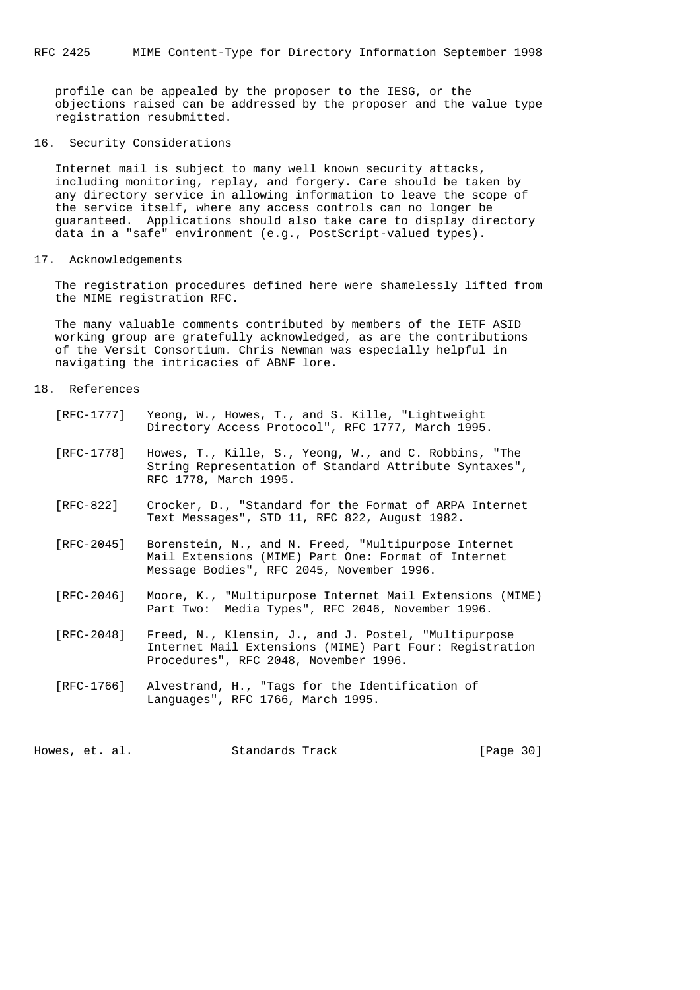profile can be appealed by the proposer to the IESG, or the objections raised can be addressed by the proposer and the value type registration resubmitted.

16. Security Considerations

 Internet mail is subject to many well known security attacks, including monitoring, replay, and forgery. Care should be taken by any directory service in allowing information to leave the scope of the service itself, where any access controls can no longer be guaranteed. Applications should also take care to display directory data in a "safe" environment (e.g., PostScript-valued types).

# 17. Acknowledgements

 The registration procedures defined here were shamelessly lifted from the MIME registration RFC.

 The many valuable comments contributed by members of the IETF ASID working group are gratefully acknowledged, as are the contributions of the Versit Consortium. Chris Newman was especially helpful in navigating the intricacies of ABNF lore.

### 18. References

| [RFC-1777] | Yeong, W., Howes, T., and S. Kille, "Lightweight"<br>Directory Access Protocol", RFC 1777, March 1995.                                                   |
|------------|----------------------------------------------------------------------------------------------------------------------------------------------------------|
| [RFC-1778] | Howes, T., Kille, S., Yeong, W., and C. Robbins, "The<br>String Representation of Standard Attribute Syntaxes",<br>RFC 1778, March 1995.                 |
| [RFC-822]  | Crocker, D., "Standard for the Format of ARPA Internet<br>Text Messages", STD 11, RFC 822, August 1982.                                                  |
| [RFC-2045] | Borenstein, N., and N. Freed, "Multipurpose Internet<br>Mail Extensions (MIME) Part One: Format of Internet<br>Message Bodies", RFC 2045, November 1996. |
| [RFC-2046] | Moore, K., "Multipurpose Internet Mail Extensions (MIME)<br>Part Two: Media Types", RFC 2046, November 1996.                                             |
| [RFC-2048] | Freed, N., Klensin, J., and J. Postel, "Multipurpose<br>Internet Mail Extensions (MIME) Part Four: Registration<br>Procedures", RFC 2048, November 1996. |
| [RFC-1766] | Alvestrand, H., "Tags for the Identification of<br>Languages", RFC 1766, March 1995.                                                                     |

Howes, et. al. Standards Track [Page 30]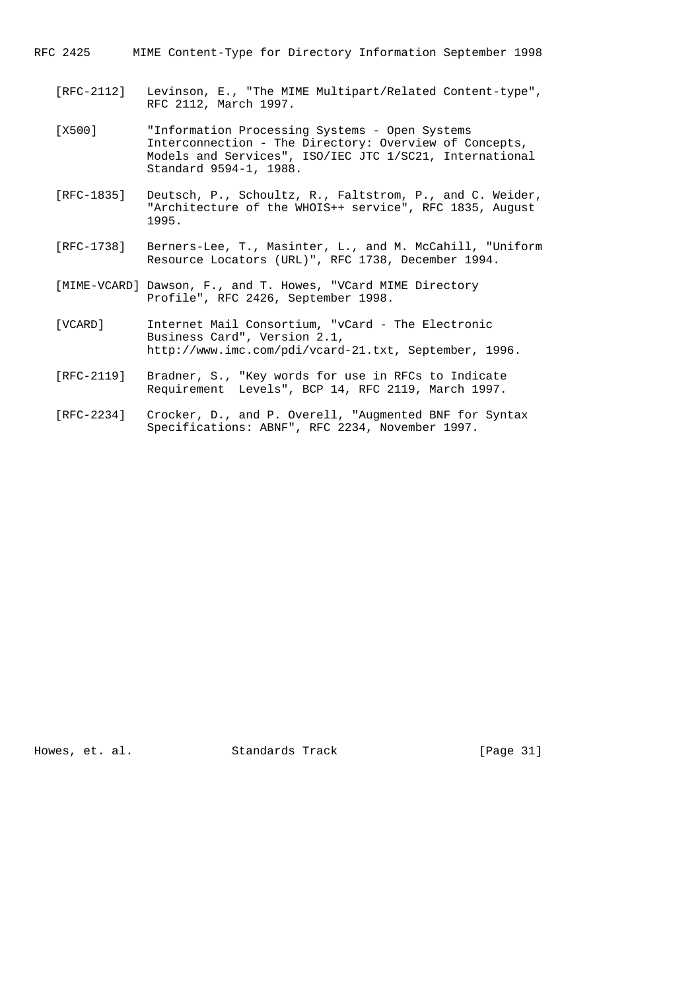RFC 2425 MIME Content-Type for Directory Information September 1998

- [RFC-2112] Levinson, E., "The MIME Multipart/Related Content-type", RFC 2112, March 1997.
- [X500] "Information Processing Systems Open Systems Interconnection - The Directory: Overview of Concepts, Models and Services", ISO/IEC JTC 1/SC21, International Standard 9594-1, 1988.
- [RFC-1835] Deutsch, P., Schoultz, R., Faltstrom, P., and C. Weider, "Architecture of the WHOIS++ service", RFC 1835, August 1995.
- [RFC-1738] Berners-Lee, T., Masinter, L., and M. McCahill, "Uniform Resource Locators (URL)", RFC 1738, December 1994.
- [MIME-VCARD] Dawson, F., and T. Howes, "VCard MIME Directory Profile", RFC 2426, September 1998.
- [VCARD] Internet Mail Consortium, "vCard The Electronic Business Card", Version 2.1, http://www.imc.com/pdi/vcard-21.txt, September, 1996.
- [RFC-2119] Bradner, S., "Key words for use in RFCs to Indicate Requirement Levels", BCP 14, RFC 2119, March 1997.
	- [RFC-2234] Crocker, D., and P. Overell, "Augmented BNF for Syntax Specifications: ABNF", RFC 2234, November 1997.

Howes, et. al. Standards Track [Page 31]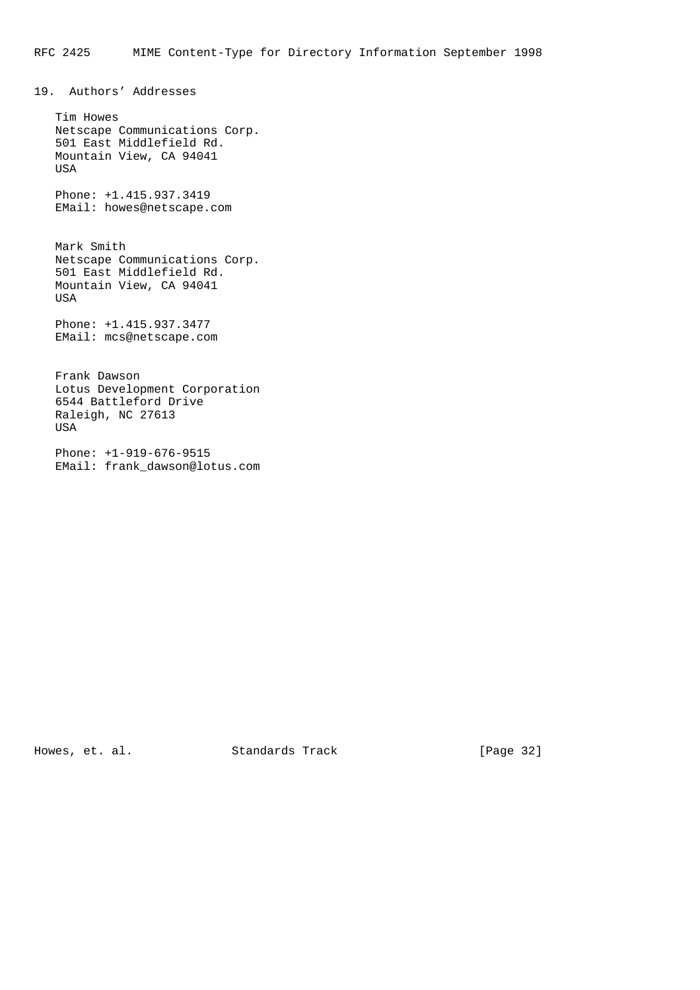19. Authors' Addresses

 Tim Howes Netscape Communications Corp. 501 East Middlefield Rd. Mountain View, CA 94041 USA

 Phone: +1.415.937.3419 EMail: howes@netscape.com

 Mark Smith Netscape Communications Corp. 501 East Middlefield Rd. Mountain View, CA 94041 USA

 Phone: +1.415.937.3477 EMail: mcs@netscape.com

 Frank Dawson Lotus Development Corporation 6544 Battleford Drive Raleigh, NC 27613 USA

 Phone: +1-919-676-9515 EMail: frank\_dawson@lotus.com

Howes, et. al. Standards Track [Page 32]